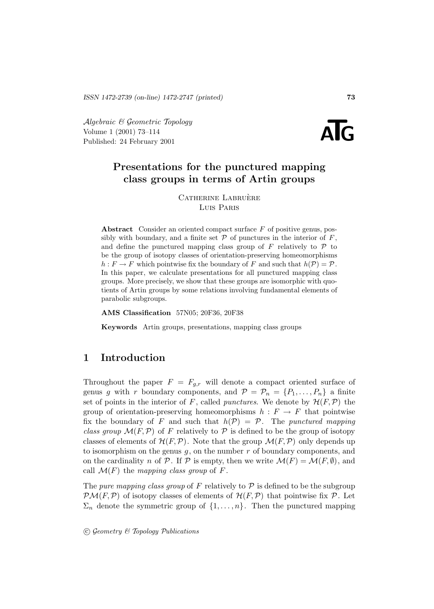Algebraic & Geometric Topology Volume 1 (2001) 73–114  $\mathcal{A}$ *lgebraic* & Geometric Topology<br>
Volume 1 (2001) 73–114<br>
Published: 24 February 2001



# **Presentations for the punctured mapping class groups in terms of Artin groups**

CATHERINE LABRUÈRE Luis Paris

**Abstract** Consider an oriented compact surface F of positive genus, possibly with boundary, and a finite set  $P$  of punctures in the interior of  $F$ , and define the punctured mapping class group of  $F$  relatively to  $\mathcal P$  to be the group of isotopy classes of orientation-preserving homeomorphisms  $h : F \to F$  which pointwise fix the boundary of F and such that  $h(\mathcal{P}) = \mathcal{P}$ . In this paper, we calculate presentations for all punctured mapping class groups. More precisely, we show that these groups are isomorphic with quotients of Artin groups by some relations involving fundamental elements of parabolic subgroups.

**AMS Classification** 57N05; 20F36, 20F38

**Keywords** Artin groups, presentations, mapping class groups

# **1 Introduction**

Throughout the paper  $F = F_{q,r}$  will denote a compact oriented surface of genus g with r boundary components, and  $\mathcal{P} = \mathcal{P}_n = \{P_1, \ldots, P_n\}$  a finite set of points in the interior of F, called *punctures*. We denote by  $\mathcal{H}(F,\mathcal{P})$  the group of orientation-preserving homeomorphisms  $h : F \to F$  that pointwise fix the boundary of F and such that  $h(\mathcal{P}) = \mathcal{P}$ . The punctured mapping class group  $\mathcal{M}(F,\mathcal{P})$  of F relatively to P is defined to be the group of isotopy classes of elements of  $\mathcal{H}(F,\mathcal{P})$ . Note that the group  $\mathcal{M}(F,\mathcal{P})$  only depends up to isomorphism on the genus  $g$ , on the number  $r$  of boundary components, and on the cardinality n of P. If P is empty, then we write  $\mathcal{M}(F) = \mathcal{M}(F, \emptyset)$ , and call  $\mathcal{M}(F)$  the mapping class group of F.

The pure mapping class group of F relatively to  $P$  is defined to be the subgroup  $\mathcal{PM}(F,\mathcal{P})$  of isotopy classes of elements of  $\mathcal{H}(F,\mathcal{P})$  that pointwise fix  $\mathcal{P}$ . Let  $\Sigma_n$  denote the symmetric group of  $\{1,\ldots,n\}$ . Then the punctured mapping

 $\odot$  Geometry & Topology Publications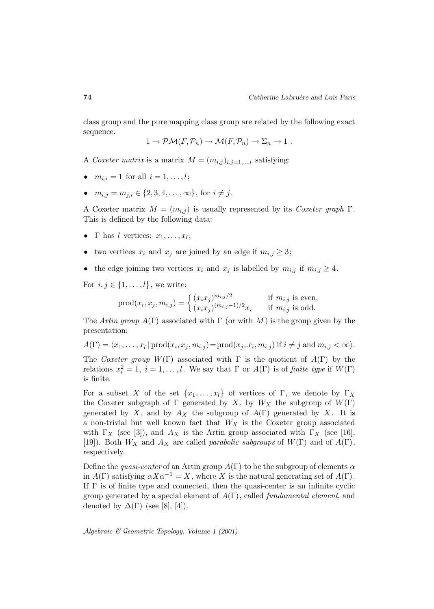class group and the pure mapping class group are related by the following exact sequence.

$$
1 \to \mathcal{PM}(F, \mathcal{P}_n) \to \mathcal{M}(F, \mathcal{P}_n) \to \Sigma_n \to 1.
$$

A Coxeter matrix is a matrix  $M = (m_{i,j})_{i,j=1,\dots,l}$  satisfying:

- $m_{i,i} = 1$  for all  $i = 1, ..., l$ ;
- $m_{i,j} = m_{j,i} \in \{2, 3, 4, \ldots, \infty\},$  for  $i \neq j$ .

A Coxeter matrix  $M = (m_{i,j})$  is usually represented by its Coxeter graph  $\Gamma$ . This is defined by the following data:

- Γ has l vertices:  $x_1, \ldots, x_l$ ;
- two vertices  $x_i$  and  $x_j$  are joined by an edge if  $m_{i,j} \geq 3$ ;
- the edge joining two vertices  $x_i$  and  $x_j$  is labelled by  $m_{i,j}$  if  $m_{i,j} \geq 4$ .

For  $i, j \in \{1, \ldots, l\}$ , we write:

$$
prod(x_i, x_j, m_{i,j}) = \begin{cases} (x_i x_j)^{m_{i,j}/2} & \text{if } m_{i,j} \text{ is even,} \\ (x_i x_j)^{(m_{i,j}-1)/2} x_i & \text{if } m_{i,j} \text{ is odd.} \end{cases}
$$

The Artin group  $A(\Gamma)$  associated with  $\Gamma$  (or with M) is the group given by the presentation:

$$
A(\Gamma) = \langle x_1, \dots, x_l | \text{prod}(x_i, x_j, m_{i,j}) = \text{prod}(x_j, x_i, m_{i,j}) \text{ if } i \neq j \text{ and } m_{i,j} < \infty \rangle.
$$

The Coxeter group  $W(\Gamma)$  associated with  $\Gamma$  is the quotient of  $A(\Gamma)$  by the relations  $x_i^2 = 1$ ,  $i = 1, ..., l$ . We say that  $\Gamma$  or  $A(\Gamma)$  is of *finite type* if  $W(\Gamma)$ is finite.

For a subset X of the set  $\{x_1,\ldots,x_l\}$  of vertices of Γ, we denote by  $\Gamma_X$ the Coxeter subgraph of  $\Gamma$  generated by X, by  $W_X$  the subgroup of  $W(\Gamma)$ generated by X, and by  $A_X$  the subgroup of  $A(\Gamma)$  generated by X. It is a non-trivial but well known fact that  $W_X$  is the Coxeter group associated with  $\Gamma_X$  (see [3]), and  $A_X$  is the Artin group associated with  $\Gamma_X$  (see [16], [19]). Both  $W_X$  and  $A_X$  are called *parabolic subgroups* of  $W(\Gamma)$  and of  $A(\Gamma)$ , respectively.

Define the *quasi-center* of an Artin group  $A(\Gamma)$  to be the subgroup of elements  $\alpha$ in  $A(\Gamma)$  satisfying  $\alpha X \alpha^{-1} = X$ , where X is the natural generating set of  $A(\Gamma)$ . If  $\Gamma$  is of finite type and connected, then the quasi-center is an infinite cyclic group generated by a special element of  $A(\Gamma)$ , called *fundamental element*, and denoted by  $\Delta(\Gamma)$  (see [8], [4]).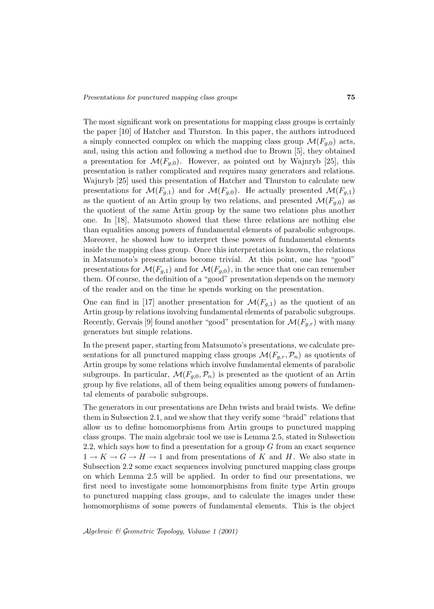The most significant work on presentations for mapping class groups is certainly the paper [10] of Hatcher and Thurston. In this paper, the authors introduced a simply connected complex on which the mapping class group  $\mathcal{M}(F_{q,0})$  acts, and, using this action and following a method due to Brown [5], they obtained a presentation for  $\mathcal{M}(F_{q,0})$ . However, as pointed out by Wajnryb [25], this presentation is rather complicated and requires many generators and relations. Wajnryb [25] used this presentation of Hatcher and Thurston to calculate new presentations for  $\mathcal{M}(F_{q,1})$  and for  $\mathcal{M}(F_{q,0})$ . He actually presented  $\mathcal{M}(F_{q,1})$ as the quotient of an Artin group by two relations, and presented  $\mathcal{M}(F_{q,0})$  as the quotient of the same Artin group by the same two relations plus another one. In [18], Matsumoto showed that these three relations are nothing else than equalities among powers of fundamental elements of parabolic subgroups. Moreover, he showed how to interpret these powers of fundamental elements inside the mapping class group. Once this interpretation is known, the relations in Matsumoto's presentations become trivial. At this point, one has "good" presentations for  $\mathcal{M}(F_{q,1})$  and for  $\mathcal{M}(F_{q,0})$ , in the sence that one can remember them. Of course, the definition of a "good" presentation depends on the memory of the reader and on the time he spends working on the presentation.

One can find in [17] another presentation for  $\mathcal{M}(F_{q,1})$  as the quotient of an Artin group by relations involving fundamental elements of parabolic subgroups. Recently, Gervais [9] found another "good" presentation for  $\mathcal{M}(F_{g,r})$  with many generators but simple relations.

In the present paper, starting from Matsumoto's presentations, we calculate presentations for all punctured mapping class groups  $\mathcal{M}(F_{g,r},\mathcal{P}_n)$  as quotients of Artin groups by some relations which involve fundamental elements of parabolic subgroups. In particular,  $\mathcal{M}(F_{q,0}, \mathcal{P}_n)$  is presented as the quotient of an Artin group by five relations, all of them being equalities among powers of fundamental elements of parabolic subgroups.

The generators in our presentations are Dehn twists and braid twists. We define them in Subsection 2.1, and we show that they verify some "braid" relations that allow us to define homomorphisms from Artin groups to punctured mapping class groups. The main algebraic tool we use is Lemma 2.5, stated in Subsection 2.2, which says how to find a presentation for a group  $G$  from an exact sequence  $1 \rightarrow K \rightarrow G \rightarrow H \rightarrow 1$  and from presentations of K and H. We also state in Subsection 2.2 some exact sequences involving punctured mapping class groups on which Lemma 2.5 will be applied. In order to find our presentations, we first need to investigate some homomorphisms from finite type Artin groups to punctured mapping class groups, and to calculate the images under these homomorphisms of some powers of fundamental elements. This is the object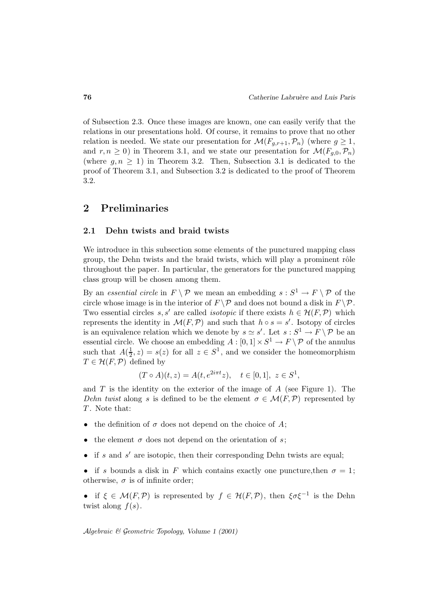of Subsection 2.3. Once these images are known, one can easily verify that the relations in our presentations hold. Of course, it remains to prove that no other relation is needed. We state our presentation for  $\mathcal{M}(F_{q,r+1}, \mathcal{P}_n)$  (where  $g \geq 1$ , and  $r, n \geq 0$ ) in Theorem 3.1, and we state our presentation for  $\mathcal{M}(F_{q,0}, \mathcal{P}_n)$ (where  $g, n \geq 1$ ) in Theorem 3.2. Then, Subsection 3.1 is dedicated to the proof of Theorem 3.1, and Subsection 3.2 is dedicated to the proof of Theorem 3.2.

# **2 Preliminaries**

## **2.1 Dehn twists and braid twists**

We introduce in this subsection some elements of the punctured mapping class group, the Dehn twists and the braid twists, which will play a prominent rôle throughout the paper. In particular, the generators for the punctured mapping class group will be chosen among them.

By an essential circle in  $F \setminus \mathcal{P}$  we mean an embedding  $s : S^1 \to F \setminus \mathcal{P}$  of the circle whose image is in the interior of  $F \backslash \mathcal{P}$  and does not bound a disk in  $F \backslash \mathcal{P}$ . Two essential circles s, s' are called *isotopic* if there exists  $h \in \mathcal{H}(F, \mathcal{P})$  which represents the identity in  $\mathcal{M}(F,\mathcal{P})$  and such that  $h \circ s = s'$ . Isotopy of circles is an equivalence relation which we denote by  $s \simeq s'$ . Let  $s : S^1 \to F \setminus \mathcal{P}$  be an essential circle. We choose an embedding  $A : [0,1] \times S^1 \to F \backslash \mathcal{P}$  of the annulus such that  $A(\frac{1}{2}, z) = s(z)$  for all  $z \in S^1$ , and we consider the homeomorphism  $T \in \mathcal{H}(F,\mathcal{P})$  defined by

$$
(T \circ A)(t, z) = A(t, e^{2i\pi t}z), \quad t \in [0, 1], \ z \in S^1,
$$

and  $T$  is the identity on the exterior of the image of  $A$  (see Figure 1). The Dehn twist along s is defined to be the element  $\sigma \in \mathcal{M}(F,\mathcal{P})$  represented by T. Note that:

- the definition of  $\sigma$  does not depend on the choice of A;
- the element  $\sigma$  does not depend on the orientation of s;
- if s and s' are isotopic, then their corresponding Dehn twists are equal;

• if s bounds a disk in F which contains exactly one puncture, then  $\sigma = 1$ ; otherwise,  $\sigma$  is of infinite order;

• if  $\xi \in \mathcal{M}(F,\mathcal{P})$  is represented by  $f \in \mathcal{H}(F,\mathcal{P})$ , then  $\xi \sigma \xi^{-1}$  is the Dehn twist along  $f(s)$ .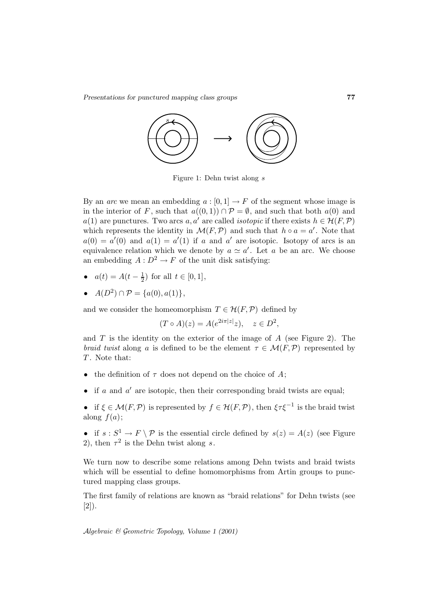

Figure 1: Dehn twist along s

By an *arc* we mean an embedding  $a : [0, 1] \to F$  of the segment whose image is in the interior of F, such that  $a((0,1)) \cap \mathcal{P} = \emptyset$ , and such that both  $a(0)$  and a(1) are punctures. Two arcs a, a' are called *isotopic* if there exists  $h \in \mathcal{H}(F,\mathcal{P})$ which represents the identity in  $\mathcal{M}(F,\mathcal{P})$  and such that  $h \circ a = a'$ . Note that  $a(0) = a'(0)$  and  $a(1) = a'(1)$  if a and a' are isotopic. Isotopy of arcs is an equivalence relation which we denote by  $a \simeq a'$ . Let a be an arc. We choose an embedding  $A: D^2 \to F$  of the unit disk satisfying:

- $a(t) = A(t \frac{1}{2})$  for all  $t \in [0, 1]$ ,
- $A(D^2) \cap \mathcal{P} = \{a(0), a(1)\},\$

and we consider the homeomorphism  $T \in \mathcal{H}(F, \mathcal{P})$  defined by

$$
(T \circ A)(z) = A(e^{2i\pi|z|}z), \quad z \in D^2,
$$

and  $T$  is the identity on the exterior of the image of  $A$  (see Figure 2). The *braid twist* along a is defined to be the element  $\tau \in \mathcal{M}(F,\mathcal{P})$  represented by  $T$ . Note that:

- the definition of  $\tau$  does not depend on the choice of A;
- if a and  $a'$  are isotopic, then their corresponding braid twists are equal;
- if  $\xi \in \mathcal{M}(F,\mathcal{P})$  is represented by  $f \in \mathcal{H}(F,\mathcal{P})$ , then  $\xi \tau \xi^{-1}$  is the braid twist along  $f(a)$ ;
- if  $s : S^1 \to F \setminus \mathcal{P}$  is the essential circle defined by  $s(z) = A(z)$  (see Figure 2), then  $\tau^2$  is the Dehn twist along s.

We turn now to describe some relations among Dehn twists and braid twists which will be essential to define homomorphisms from Artin groups to punctured mapping class groups.

The first family of relations are known as "braid relations" for Dehn twists (see [2]).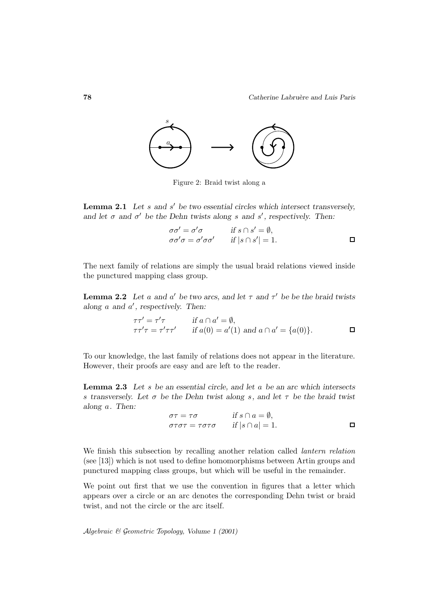

Figure 2: Braid twist along a

**Lemma 2.1** Let s and s' be two essential circles which intersect transversely, and let  $\sigma$  and  $\sigma'$  be the Dehn twists along s and s', respectively. Then:

$$
\begin{array}{ll}\n\sigma\sigma' = \sigma'\sigma & \text{if } s \cap s' = \emptyset, \\
\sigma\sigma'\sigma = \sigma'\sigma\sigma' & \text{if } |s \cap s'| = 1.\n\end{array} \quad \Box
$$

The next family of relations are simply the usual braid relations viewed inside the punctured mapping class group.

**Lemma 2.2** *Let* a and a' be two arcs, and let  $\tau$  and  $\tau'$  be be the braid twists along a and  $a'$ , respectively. Then:

$$
\tau \tau' = \tau' \tau \qquad \text{if } a \cap a' = \emptyset,
$$
  

$$
\tau \tau' \tau = \tau' \tau \tau' \qquad \text{if } a(0) = a'(1) \text{ and } a \cap a' = \{a(0)\}.
$$

To our knowledge, the last family of relations does not appear in the literature. However, their proofs are easy and are left to the reader.

**Lemma 2.3** *Let* s *be an essential circle, and let* a *be an arc which intersects* s *transversely. Let* σ *be the Dehn twist along* s*, and let* τ *be the braid twist along* a*. Then:*

$$
\sigma \tau = \tau \sigma \qquad \text{if } s \cap a = \emptyset,
$$
  
\n
$$
\sigma \tau \sigma \tau = \tau \sigma \tau \sigma \qquad \text{if } |s \cap a| = 1.
$$

We finish this subsection by recalling another relation called lantern relation (see [13]) which is not used to define homomorphisms between Artin groups and punctured mapping class groups, but which will be useful in the remainder.

We point out first that we use the convention in figures that a letter which appears over a circle or an arc denotes the corresponding Dehn twist or braid twist, and not the circle or the arc itself.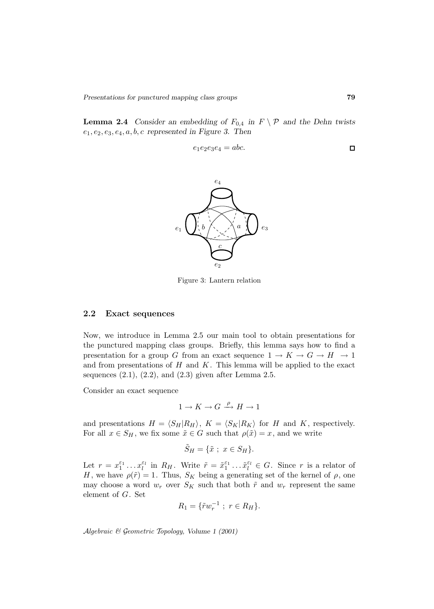**Lemma 2.4** *Consider an embedding of*  $F_{0,4}$  *in*  $F \setminus \mathcal{P}$  *and the Dehn twists* e1, e2, e3, e4, a, b, c *represented in Figure 3. Then*

$$
e_1e_2e_3e_4 = abc.
$$



Figure 3: Lantern relation

## **2.2 Exact sequences**

Now, we introduce in Lemma 2.5 our main tool to obtain presentations for the punctured mapping class groups. Briefly, this lemma says how to find a presentation for a group G from an exact sequence  $1 \to K \to G \to H \to 1$ and from presentations of  $H$  and  $K$ . This lemma will be applied to the exact sequences  $(2.1)$ ,  $(2.2)$ , and  $(2.3)$  given after Lemma 2.5.

Consider an exact sequence

$$
1 \to K \to G \xrightarrow{\rho} H \to 1
$$

and presentations  $H = \langle S_H | R_H \rangle$ ,  $K = \langle S_K | R_K \rangle$  for H and K, respectively. For all  $x \in S_H$ , we fix some  $\tilde{x} \in G$  such that  $\rho(\tilde{x}) = x$ , and we write

$$
\tilde{S}_H = \{ \tilde{x} \; ; \; x \in S_H \}.
$$

Let  $r = x_1^{\varepsilon_1} \dots x_l^{\varepsilon_l}$  in  $R_H$ . Write  $\tilde{r} = \tilde{x}_1^{\varepsilon_1} \dots \tilde{x}_l^{\varepsilon_l} \in G$ . Since r is a relator of H, we have  $\rho(\tilde{r}) = 1$ . Thus,  $S_K$  being a generating set of the kernel of  $\rho$ , one may choose a word  $w_r$  over  $S_K$  such that both  $\tilde{r}$  and  $w_r$  represent the same element of G. Set

$$
R_1 = \{ \tilde{r} w_r^{-1} \; ; \; r \in R_H \}.
$$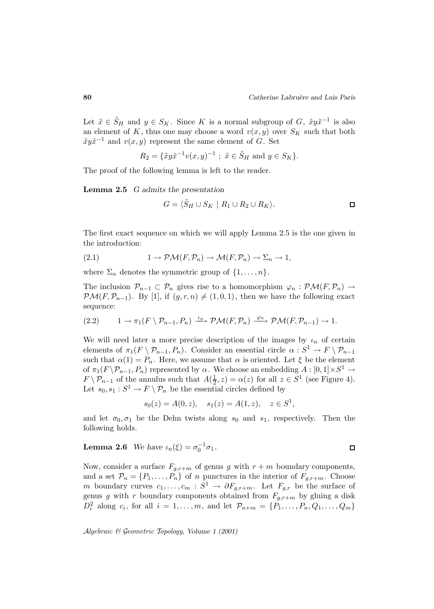Let  $\tilde{x} \in \tilde{S}_H$  and  $y \in S_K$ . Since K is a normal subgroup of G,  $\tilde{x}y\tilde{x}^{-1}$  is also an element of K, thus one may choose a word  $v(x, y)$  over  $S_K$  such that both  $\tilde{x}y\tilde{x}^{-1}$  and  $v(x, y)$  represent the same element of G. Set

$$
R_2 = {\tilde{x}} y \tilde{x}^{-1} v(x, y)^{-1}
$$
;  $\tilde{x} \in \tilde{S}_H$  and  $y \in S_K$ .

The proof of the following lemma is left to the reader.

**Lemma 2.5** *G admits the presentation*

$$
G = \langle \tilde{S}_H \cup S_K \mid R_1 \cup R_2 \cup R_K \rangle.
$$

The first exact sequence on which we will apply Lemma 2.5 is the one given in the introduction:

(2.1) 
$$
1 \to \mathcal{PM}(F, \mathcal{P}_n) \to \mathcal{M}(F, \mathcal{P}_n) \to \Sigma_n \to 1,
$$

where  $\Sigma_n$  denotes the symmetric group of  $\{1,\ldots,n\}$ .

The inclusion  $\mathcal{P}_{n-1} \subset \mathcal{P}_n$  gives rise to a homomorphism  $\varphi_n : \mathcal{PM}(F, \mathcal{P}_n) \to$  $\mathcal{PM}(F,\mathcal{P}_{n-1})$ . By [1], if  $(g,r,n) \neq (1,0,1)$ , then we have the following exact sequence:

$$
(2.2) \t 1 \to \pi_1(F \setminus P_{n-1}, P_n) \xrightarrow{\iota_n} \mathcal{PM}(F, \mathcal{P}_n) \xrightarrow{\varphi_n} \mathcal{PM}(F, \mathcal{P}_{n-1}) \to 1.
$$

We will need later a more precise description of the images by  $\iota_n$  of certain elements of  $\pi_1(F \setminus \mathcal{P}_{n-1}, P_n)$ . Consider an essential circle  $\alpha : S^1 \to F \setminus \mathcal{P}_{n-1}$ such that  $\alpha(1) = P_n$ . Here, we assume that  $\alpha$  is oriented. Let  $\xi$  be the element of  $\pi_1(F \backslash \mathcal{P}_{n-1}, P_n)$  represented by  $\alpha$ . We choose an embedding  $A : [0, 1] \times S^1 \rightarrow$  $F \setminus \mathcal{P}_{n-1}$  of the annulus such that  $A(\frac{1}{2}, z) = \alpha(z)$  for all  $z \in S^1$  (see Figure 4). Let  $s_0, s_1 : S^1 \to F \setminus \mathcal{P}_n$  be the essential circles defined by

$$
s_0(z) = A(0, z), \quad s_1(z) = A(1, z), \quad z \in S^1,
$$

and let  $\sigma_0$ ,  $\sigma_1$  be the Dehn twists along  $s_0$  and  $s_1$ , respectively. Then the following holds.

**Lemma 2.6** We have 
$$
\iota_n(\xi) = \sigma_0^{-1} \sigma_1
$$
.

Now, consider a surface  $F_{g,r+m}$  of genus g with  $r+m$  boundary components, and a set  $\mathcal{P}_n = \{P_1, \ldots, P_n\}$  of *n* punctures in the interior of  $F_{g,r+m}$ . Choose m boundary curves  $c_1, \ldots, c_m : S^1 \to \partial F_{g,r+m}$ . Let  $F_{g,r}$  be the surface of genus g with r boundary components obtained from  $F_{q,r+m}$  by gluing a disk  $D_i^2$  along  $c_i$ , for all  $i = 1, ..., m$ , and let  $\mathcal{P}_{n+m} = \{P_1, ..., P_n, Q_1, ..., Q_m\}$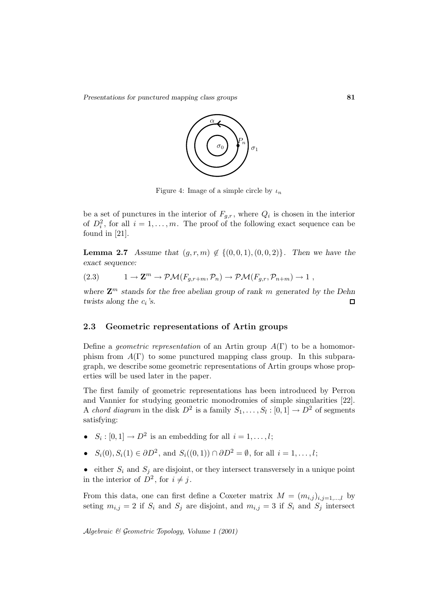

Figure 4: Image of a simple circle by  $\iota_n$ 

be a set of punctures in the interior of  $F_{a,r}$ , where  $Q_i$  is chosen in the interior of  $D_i^2$ , for all  $i = 1, ..., m$ . The proof of the following exact sequence can be found in [21].

**Lemma 2.7** *Assume that*  $(g, r, m) \notin \{(0, 0, 1), (0, 0, 2)\}$ *. Then we have the exact sequence:*

(2.3) 
$$
1 \to \mathbf{Z}^m \to \mathcal{PM}(F_{g,r+m}, \mathcal{P}_n) \to \mathcal{PM}(F_{g,r}, \mathcal{P}_{n+m}) \to 1,
$$

where  $\mathbf{Z}^m$  *stands for the free abelian group of rank* m *generated by the Dehn twists along the*  $c_i$ *'s.* П

#### **2.3 Geometric representations of Artin groups**

Define a *geometric representation* of an Artin group  $A(\Gamma)$  to be a homomorphism from  $A(\Gamma)$  to some punctured mapping class group. In this subparagraph, we describe some geometric representations of Artin groups whose properties will be used later in the paper.

The first family of geometric representations has been introduced by Perron and Vannier for studying geometric monodromies of simple singularities [22]. A chord diagram in the disk  $D^2$  is a family  $S_1, \ldots, S_l : [0, 1] \to D^2$  of segments satisfying:

- $S_i : [0, 1] \rightarrow D^2$  is an embedding for all  $i = 1, \ldots, l$ ;
- $S_i(0), S_i(1) \in \partial D^2$ , and  $S_i((0,1)) \cap \partial D^2 = \emptyset$ , for all  $i = 1, ..., l$ ;
- either  $S_i$  and  $S_j$  are disjoint, or they intersect transversely in a unique point in the interior of  $D^2$ , for  $i \neq j$ .

From this data, one can first define a Coxeter matrix  $M = (m_{i,j})_{i,j=1,\dots,l}$  by seting  $m_{i,j} = 2$  if  $S_i$  and  $S_j$  are disjoint, and  $m_{i,j} = 3$  if  $S_i$  and  $S_j$  intersect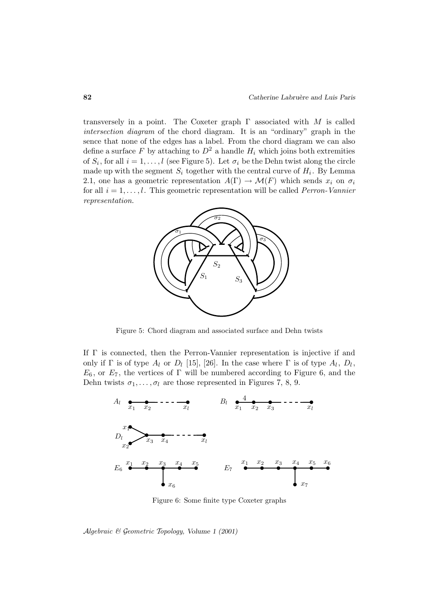transversely in a point. The Coxeter graph  $\Gamma$  associated with M is called intersection diagram of the chord diagram. It is an "ordinary" graph in the sence that none of the edges has a label. From the chord diagram we can also define a surface F by attaching to  $D^2$  a handle  $H_i$  which joins both extremities of  $S_i$ , for all  $i = 1, \ldots, l$  (see Figure 5). Let  $\sigma_i$  be the Dehn twist along the circle made up with the segment  $S_i$  together with the central curve of  $H_i$ . By Lemma 2.1, one has a geometric representation  $A(\Gamma) \to \mathcal{M}(F)$  which sends  $x_i$  on  $\sigma_i$ for all  $i = 1, \ldots, l$ . This geometric representation will be called *Perron-Vannier* representation.



Figure 5: Chord diagram and associated surface and Dehn twists

If Γ is connected, then the Perron-Vannier representation is injective if and only if  $\Gamma$  is of type  $A_l$  or  $D_l$  [15], [26]. In the case where  $\Gamma$  is of type  $A_l$ ,  $D_l$ ,  $E_6$ , or  $E_7$ , the vertices of  $\Gamma$  will be numbered according to Figure 6, and the Dehn twists  $\sigma_1, \ldots, \sigma_l$  are those represented in Figures 7, 8, 9.



Figure 6: Some finite type Coxeter graphs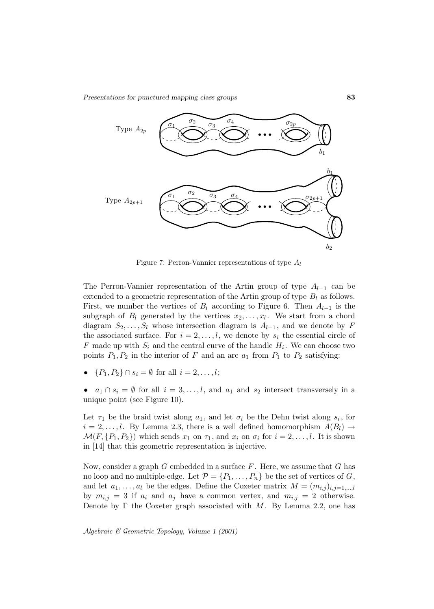

Figure 7: Perron-Vannier representations of type  $A_l$ 

The Perron-Vannier representation of the Artin group of type  $A_{l-1}$  can be extended to a geometric representation of the Artin group of type  $B_l$  as follows. First, we number the vertices of  $B_l$  according to Figure 6. Then  $A_{l-1}$  is the subgraph of  $B_l$  generated by the vertices  $x_2, \ldots, x_l$ . We start from a chord diagram  $S_2, \ldots, S_l$  whose intersection diagram is  $A_{l-1}$ , and we denote by F the associated surface. For  $i = 2, \ldots, l$ , we denote by  $s_i$  the essential circle of F made up with  $S_i$  and the central curve of the handle  $H_i$ . We can choose two points  $P_1, P_2$  in the interior of F and an arc  $a_1$  from  $P_1$  to  $P_2$  satisfying:

•  $\{P_1, P_2\} \cap s_i = \emptyset$  for all  $i = 2, ..., l$ ;

•  $a_1 \cap s_i = \emptyset$  for all  $i = 3, ..., l$ , and  $a_1$  and  $s_2$  intersect transversely in a unique point (see Figure 10).

Let  $\tau_1$  be the braid twist along  $a_1$ , and let  $\sigma_i$  be the Dehn twist along  $s_i$ , for  $i = 2, \ldots, l$ . By Lemma 2.3, there is a well defined homomorphism  $A(B_l) \rightarrow$  $\mathcal{M}(F, \{P_1, P_2\})$  which sends  $x_1$  on  $\tau_1$ , and  $x_i$  on  $\sigma_i$  for  $i = 2, \ldots, l$ . It is shown in [14] that this geometric representation is injective.

Now, consider a graph  $G$  embedded in a surface  $F$ . Here, we assume that  $G$  has no loop and no multiple-edge. Let  $\mathcal{P} = \{P_1, \ldots, P_n\}$  be the set of vertices of G, and let  $a_1, \ldots, a_l$  be the edges. Define the Coxeter matrix  $M = (m_{i,j})_{i,j=1,\ldots,l}$ by  $m_{i,j} = 3$  if  $a_i$  and  $a_j$  have a common vertex, and  $m_{i,j} = 2$  otherwise. Denote by  $\Gamma$  the Coxeter graph associated with M. By Lemma 2.2, one has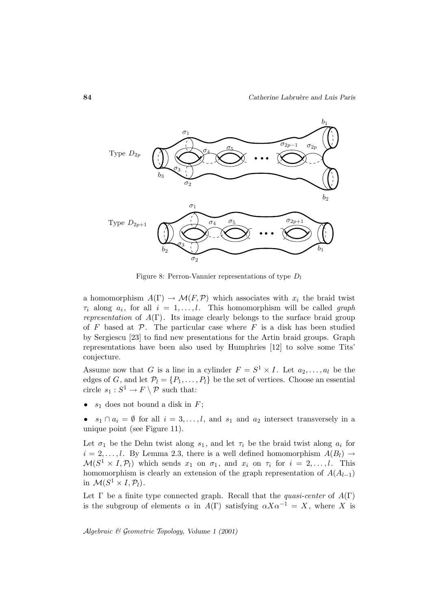

Figure 8: Perron-Vannier representations of type  $D_l$ 

a homomorphism  $A(\Gamma) \to \mathcal{M}(F, \mathcal{P})$  which associates with  $x_i$  the braid twist  $\tau_i$  along  $a_i$ , for all  $i = 1, \ldots, l$ . This homomorphism will be called graph *representation* of  $A(\Gamma)$ . Its image clearly belongs to the surface braid group of F based at  $P$ . The particular case where F is a disk has been studied by Sergiescu [23] to find new presentations for the Artin braid groups. Graph representations have been also used by Humphries [12] to solve some Tits' conjecture.

Assume now that G is a line in a cylinder  $F = S^1 \times I$ . Let  $a_2, \ldots, a_l$  be the edges of G, and let  $\mathcal{P}_l = \{P_1, \ldots, P_l\}$  be the set of vertices. Choose an essential circle  $s_1 : S^1 \to F \setminus \mathcal{P}$  such that:

- $s_1$  does not bound a disk in  $F$ ;
- $s_1 \cap a_i = \emptyset$  for all  $i = 3, ..., l$ , and  $s_1$  and  $a_2$  intersect transversely in a unique point (see Figure 11).

Let  $\sigma_1$  be the Dehn twist along  $s_1$ , and let  $\tau_i$  be the braid twist along  $a_i$  for  $i = 2, \ldots, l$ . By Lemma 2.3, there is a well defined homomorphism  $A(B_l) \rightarrow$  $\mathcal{M}(S^1 \times I, \mathcal{P}_l)$  which sends  $x_1$  on  $\sigma_1$ , and  $x_i$  on  $\tau_i$  for  $i = 2, \ldots, l$ . This homomorphism is clearly an extension of the graph representation of  $A(A_{l-1})$ in  $\mathcal{M}(S^1 \times I, \mathcal{P}_l)$ .

Let  $\Gamma$  be a finite type connected graph. Recall that the *quasi-center* of  $A(\Gamma)$ is the subgroup of elements  $\alpha$  in  $A(\Gamma)$  satisfying  $\alpha X \alpha^{-1} = X$ , where X is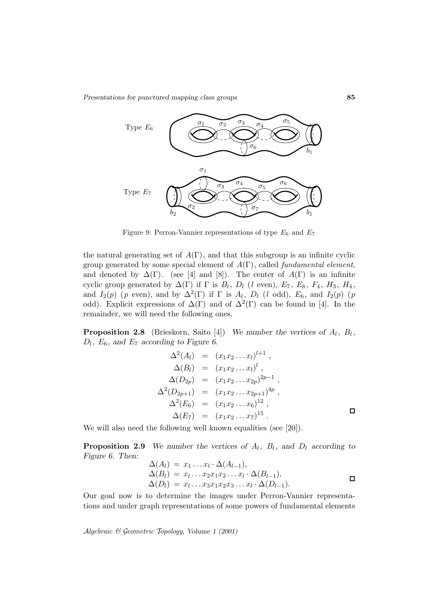

Figure 9: Perron-Vannier representations of type  $E_6$  and  $E_7$ 

the natural generating set of  $A(\Gamma)$ , and that this subgroup is an infinite cyclic group generated by some special element of  $A(\Gamma)$ , called fundamental element, and denoted by  $\Delta(\Gamma)$ . (see [4] and [8]). The center of  $A(\Gamma)$  is an infinite cyclic group generated by  $\Delta(\Gamma)$  if  $\Gamma$  is  $B_l$ ,  $D_l$  (l even),  $E_7$ ,  $E_8$ ,  $F_4$ ,  $H_3$ ,  $H_4$ , and  $I_2(p)$  (p even), and by  $\Delta^2(\Gamma)$  if  $\Gamma$  is  $A_l$ ,  $D_l$  (l odd),  $E_6$ , and  $I_2(p)$  (p odd). Explicit expressions of  $\Delta(\Gamma)$  and of  $\Delta^2(\Gamma)$  can be found in [4]. In the remainder, we will need the following ones.

**Proposition 2.8** (Brieskorn, Saito [4]) *We number the vertices of*  $A_l$ ,  $B_l$ ,  $D_l$ ,  $E_6$ , and  $E_7$  according to Figure 6.

$$
\Delta^{2}(A_{l}) = (x_{1}x_{2}...x_{l})^{l+1},
$$
  
\n
$$
\Delta(B_{l}) = (x_{1}x_{2}...x_{l})^{l},
$$
  
\n
$$
\Delta(D_{2p}) = (x_{1}x_{2}...x_{2p})^{2p-1},
$$
  
\n
$$
\Delta^{2}(D_{2p+1}) = (x_{1}x_{2}...x_{2p+1})^{4p},
$$
  
\n
$$
\Delta^{2}(E_{6}) = (x_{1}x_{2}...x_{6})^{12},
$$
  
\n
$$
\Delta(E_{7}) = (x_{1}x_{2}...x_{7})^{15}.
$$

We will also need the following well known equalities (see [20]).

**Proposition 2.9** *We number the vertices of*  $A_l$ ,  $B_l$ , and  $D_l$  *according to Figure 6. Then:*

$$
\Delta(A_l) = x_1 \dots x_l \cdot \Delta(A_{l-1}),
$$
  
\n
$$
\Delta(B_l) = x_l \dots x_2 x_1 x_2 \dots x_l \cdot \Delta(B_{l-1}),
$$
  
\n
$$
\Delta(D_l) = x_l \dots x_3 x_1 x_2 x_3 \dots x_l \cdot \Delta(D_{l-1}).
$$

Our goal now is to determine the images under Perron-Vannier representations and under graph representations of some powers of fundamental elements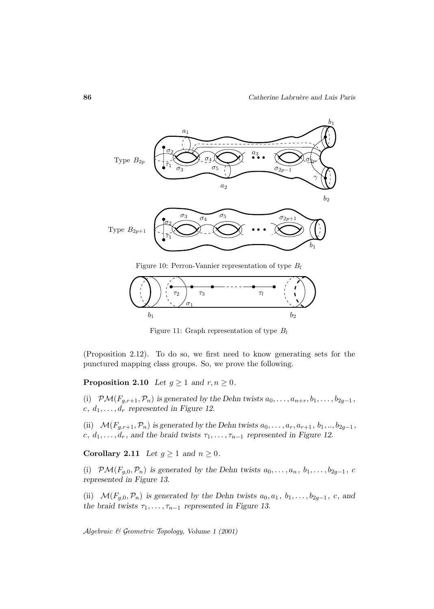

Figure 10: Perron-Vannier representation of type  $B_l$ 



Figure 11: Graph representation of type  $B_l$ 

(Proposition 2.12). To do so, we first need to know generating sets for the punctured mapping class groups. So, we prove the following.

**Proposition 2.10** *Let*  $g \ge 1$  *and*  $r, n \ge 0$ *.* 

(i)  $\mathcal{PM}(F_{g,r+1}, \mathcal{P}_n)$  is generated by the Dehn twists  $a_0, \ldots, a_{n+r}, b_1, \ldots, b_{2g-1}$ ,  $c, d_1, \ldots, d_r$  represented in Figure 12.

(ii)  $\mathcal{M}(F_{g,r+1}, \mathcal{P}_n)$  is generated by the Dehn twists  $a_0, \ldots, a_r, a_{r+1}, b_1, \ldots, b_{2g-1}$ , c,  $d_1, \ldots, d_r$ , and the braid twists  $\tau_1, \ldots, \tau_{n-1}$  represented in Figure 12.

**Corollary 2.11** *Let*  $g \ge 1$  *and*  $n \ge 0$ *.* 

(i)  $\mathcal{PM}(F_{g,0}, \mathcal{P}_n)$  is generated by the Dehn twists  $a_0, \ldots, a_n, b_1, \ldots, b_{2g-1}, c$ *represented in Figure 13.*

(ii)  $\mathcal{M}(F_{g,0}, \mathcal{P}_n)$  is generated by the Dehn twists  $a_0, a_1, b_1, \ldots, b_{2g-1}, c$ , and *the braid twists*  $\tau_1, \ldots, \tau_{n-1}$  *represented in Figure 13.*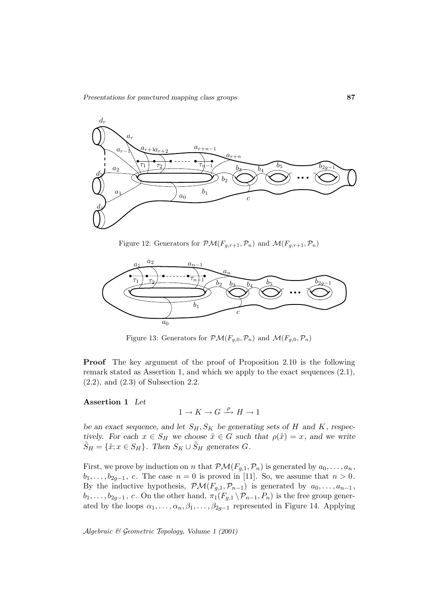

Figure 12: Generators for  $\mathcal{PM}(F_{g,r+1}, \mathcal{P}_n)$  and  $\mathcal{M}(F_{g,r+1}, \mathcal{P}_n)$ 



Figure 13: Generators for  $\mathcal{PM}(F_{q,0}, \mathcal{P}_n)$  and  $\mathcal{M}(F_{q,0}, \mathcal{P}_n)$ 

**Proof** The key argument of the proof of Proposition 2.10 is the following remark stated as Assertion 1, and which we apply to the exact sequences (2.1), (2.2), and (2.3) of Subsection 2.2.

#### **Assertion 1** *Let*

$$
1\to K\to G\stackrel{\rho}\longrightarrow H\to 1
$$

*be an exact sequence, and let*  $S_H$ ,  $S_K$  *be generating sets of* H *and* K, respec*tively.* For each  $x \in S_H$  we choose  $\tilde{x} \in G$  such that  $\rho(\tilde{x}) = x$ , and we write  $\tilde{S}_H = {\tilde{x}; x \in S_H}$ . Then  $S_K \cup \tilde{S}_H$  generates G.

First, we prove by induction on n that  $\mathcal{PM}(F_{g,1},\mathcal{P}_n)$  is generated by  $a_0,\ldots,a_n$ ,  $b_1,\ldots,b_{2g-1}, c.$  The case  $n=0$  is proved in [11]. So, we assume that  $n>0$ . By the inductive hypothesis,  $\mathcal{PM}(F_{g,1}, \mathcal{P}_{n-1})$  is generated by  $a_0, \ldots, a_{n-1}$ ,  $b_1,\ldots,b_{2g-1}, c.$  On the other hand,  $\pi_1(F_{g,1} \setminus \mathcal{P}_{n-1}, P_n)$  is the free group generated by the loops  $\alpha_1, \ldots, \alpha_n, \beta_1, \ldots, \beta_{2g-1}$  represented in Figure 14. Applying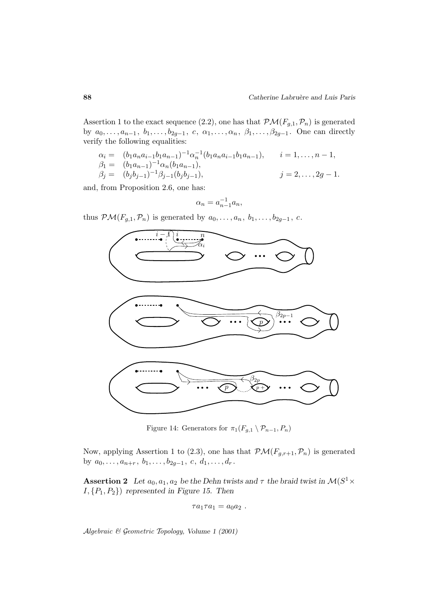Assertion 1 to the exact sequence (2.2), one has that  $\mathcal{PM}(F_{g,1}, \mathcal{P}_n)$  is generated by  $a_0,\ldots,a_{n-1}, b_1,\ldots,b_{2g-1}, c, \alpha_1,\ldots,\alpha_n, \beta_1,\ldots,\beta_{2g-1}.$  One can directly verify the following equalities:

$$
\alpha_i = (b_1 a_n a_{i-1} b_1 a_{n-1})^{-1} \alpha_n^{-1} (b_1 a_n a_{i-1} b_1 a_{n-1}), \quad i = 1, ..., n-1,
$$
  
\n
$$
\beta_1 = (b_1 a_{n-1})^{-1} \alpha_n (b_1 a_{n-1}),
$$
  
\n
$$
\beta_j = (b_j b_{j-1})^{-1} \beta_{j-1} (b_j b_{j-1}), \quad j = 2, ..., 2g - 1.
$$

and, from Proposition 2.6, one has:

$$
\alpha_n = a_{n-1}^{-1} a_n,
$$

thus  $\mathcal{PM}(F_{g,1},\mathcal{P}_n)$  is generated by  $a_0,\ldots,a_n, b_1,\ldots,b_{2g-1}, c$ .



Figure 14: Generators for  $\pi_1(F_{g,1} \setminus \mathcal{P}_{n-1}, P_n)$ 

Now, applying Assertion 1 to (2.3), one has that  $\mathcal{PM}(F_{g,r+1}, \mathcal{P}_n)$  is generated by  $a_0, \ldots, a_{n+r}, b_1, \ldots, b_{2g-1}, c, d_1, \ldots, d_r$ .

**Assertion 2** *Let*  $a_0, a_1, a_2$  *be the Dehn twists and*  $\tau$  *the braid twist in*  $\mathcal{M}(S^1 \times$ I, {P1, P2}) *represented in Figure 15. Then*

$$
\tau a_1\tau a_1=a_0a_2\ .
$$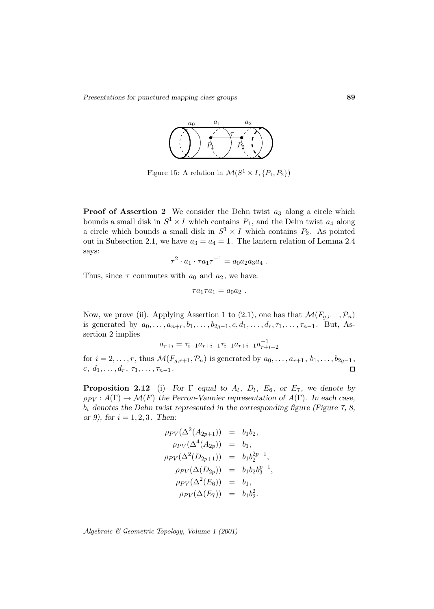

Figure 15: A relation in  $\mathcal{M}(S^1 \times I, \{P_1, P_2\})$ 

**Proof of Assertion 2** We consider the Dehn twist  $a_3$  along a circle which bounds a small disk in  $S^1 \times I$  which contains  $P_1$ , and the Dehn twist  $a_4$  along a circle which bounds a small disk in  $S^1 \times I$  which contains  $P_2$ . As pointed out in Subsection 2.1, we have  $a_3 = a_4 = 1$ . The lantern relation of Lemma 2.4 says:

$$
\tau^2 \cdot a_1 \cdot \tau a_1 \tau^{-1} = a_0 a_2 a_3 a_4 \; .
$$

Thus, since  $\tau$  commutes with  $a_0$  and  $a_2$ , we have:

$$
\tau a_1 \tau a_1 = a_0 a_2 \ .
$$

Now, we prove (ii). Applying Assertion 1 to (2.1), one has that  $\mathcal{M}(F_{g,r+1}, \mathcal{P}_n)$ is generated by  $a_0, \ldots, a_{n+r}, b_1, \ldots, b_{2g-1}, c, d_1, \ldots, d_r, \tau_1, \ldots, \tau_{n-1}$ . But, Assertion 2 implies

$$
a_{r+i} = \tau_{i-1} a_{r+i-1} \tau_{i-1} a_{r+i-1} a_{r+i-2}^{-1}
$$

for  $i = 2, ..., r$ , thus  $\mathcal{M}(F_{g,r+1}, \mathcal{P}_n)$  is generated by  $a_0, ..., a_{r+1}, b_1, ..., b_{2g-1},$ <br>c.  $d_1, ..., d_r, \tau_1, ..., \tau_{n-1}$ .  $c, d_1, \ldots, d_r, \tau_1, \ldots, \tau_{n-1}.$ 

**Proposition 2.12** (i) *For*  $\Gamma$  *equal to*  $A_l$ *,*  $D_l$ *,*  $E_6$ *,* or  $E_7$ *,* we denote by  $\rho_{PV}: A(\Gamma) \to \mathcal{M}(F)$  the Perron-Vannier representation of  $A(\Gamma)$ . In each case, b<sup>i</sup> *denotes the Dehn twist represented in the corresponding figure (Figure 7, 8, or 9), for* i = 1, 2, 3*. Then:*

$$
\rho_{PV}(\Delta^2(A_{2p+1})) = b_1b_2, \n\rho_{PV}(\Delta^4(A_{2p})) = b_1, \n\rho_{PV}(\Delta^2(D_{2p+1})) = b_1b_2^{2p-1}, \n\rho_{PV}(\Delta(D_{2p})) = b_1b_2b_3^{p-1}, \n\rho_{PV}(\Delta^2(E_6)) = b_1, \n\rho_{PV}(\Delta(E_7)) = b_1b_2^2.
$$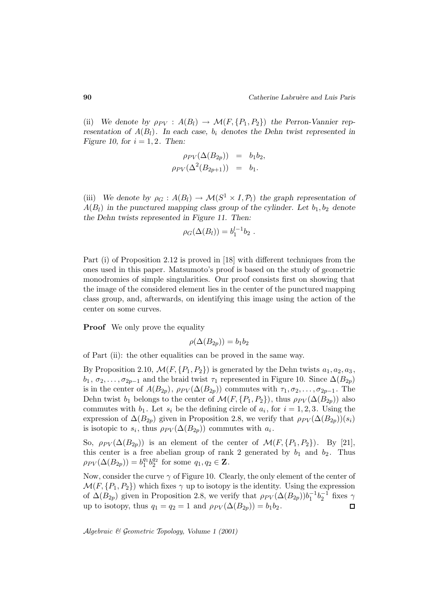(ii) *We denote by*  $\rho_{PV}$  :  $A(B_l) \to \mathcal{M}(F, \{P_1, P_2\})$  the Perron-Vannier rep*resentation of*  $A(B_l)$ *. In each case,*  $b_i$  *denotes the Dehn twist represented in Figure 10, for*  $i = 1, 2$ *. Then:* 

$$
\rho_{PV}(\Delta(B_{2p})) = b_1b_2,
$$
  

$$
\rho_{PV}(\Delta^2(B_{2p+1})) = b_1.
$$

(iii) *We denote by*  $\rho_G : A(B_l) \to \mathcal{M}(S^1 \times I, \mathcal{P}_l)$  the graph representation of  $A(B_l)$  in the punctured mapping class group of the cylinder. Let  $b_1, b_2$  denote *the Dehn twists represented in Figure 11. Then:*

$$
\rho_G(\Delta(B_l)) = b_1^{l-1}b_2.
$$

Part (i) of Proposition 2.12 is proved in [18] with different techniques from the ones used in this paper. Matsumoto's proof is based on the study of geometric monodromies of simple singularities. Our proof consists first on showing that the image of the considered element lies in the center of the punctured mapping class group, and, afterwards, on identifying this image using the action of the center on some curves.

**Proof** We only prove the equality

$$
\rho(\Delta(B_{2p})) = b_1 b_2
$$

of Part (ii): the other equalities can be proved in the same way.

By Proposition 2.10,  $\mathcal{M}(F, \{P_1, P_2\})$  is generated by the Dehn twists  $a_1, a_2, a_3$ ,  $b_1, \sigma_2, \ldots, \sigma_{2p-1}$  and the braid twist  $\tau_1$  represented in Figure 10. Since  $\Delta(B_{2p})$ is in the center of  $A(B_{2p}), \rho_{PV}(\Delta(B_{2p}))$  commutes with  $\tau_1, \sigma_2, \ldots, \sigma_{2p-1}$ . The Dehn twist  $b_1$  belongs to the center of  $\mathcal{M}(F, \{P_1, P_2\})$ , thus  $\rho_{PV}(\Delta(B_{2p}))$  also commutes with  $b_1$ . Let  $s_i$  be the defining circle of  $a_i$ , for  $i = 1, 2, 3$ . Using the expression of  $\Delta(B_{2p})$  given in Proposition 2.8, we verify that  $\rho_{PV}(\Delta(B_{2p}))(s_i)$ is isotopic to  $s_i$ , thus  $\rho_{PV}(\Delta(B_{2p}))$  commutes with  $a_i$ .

So,  $\rho_{PV}(\Delta(B_{2p}))$  is an element of the center of  $\mathcal{M}(F, \{P_1, P_2\})$ . By [21], this center is a free abelian group of rank 2 generated by  $b_1$  and  $b_2$ . Thus  $\rho_{PV}(\Delta(B_{2p})) = b_1^{q_1} b_2^{q_2}$  for some  $q_1, q_2 \in \mathbf{Z}$ .

Now, consider the curve  $\gamma$  of Figure 10. Clearly, the only element of the center of  $\mathcal{M}(F, \{P_1, P_2\})$  which fixes  $\gamma$  up to isotopy is the identity. Using the expression of  $\Delta(B_{2p})$  given in Proposition 2.8, we verify that  $\rho_{PV}(\Delta(B_{2p}))b_1^{-1}b_2^{-1}$  fixes  $\gamma$ up to isotopy, thus  $q_1 = q_2 = 1$  and  $\rho_{PV}(\Delta(B_{2p})) = b_1b_2$ .  $\Box$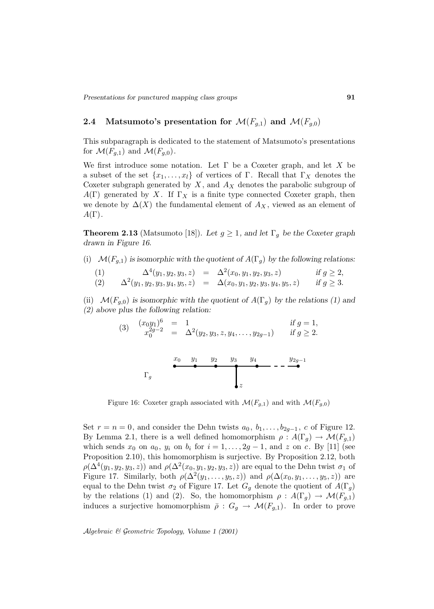## **2.4** Matsumoto's presentation for  $\mathcal{M}(F_{g,1})$  and  $\mathcal{M}(F_{g,0})$

This subparagraph is dedicated to the statement of Matsumoto's presentations for  $\mathcal{M}(F_{g,1})$  and  $\mathcal{M}(F_{g,0})$ .

We first introduce some notation. Let  $\Gamma$  be a Coxeter graph, and let X be a subset of the set  $\{x_1,\ldots,x_l\}$  of vertices of Γ. Recall that  $\Gamma_X$  denotes the Coxeter subgraph generated by  $X$ , and  $A_X$  denotes the parabolic subgroup of  $A(\Gamma)$  generated by X. If  $\Gamma_X$  is a finite type connected Coxeter graph, then we denote by  $\Delta(X)$  the fundamental element of  $A_X$ , viewed as an element of  $A(\Gamma)$ .

**Theorem 2.13** (Matsumoto [18]). Let  $g \geq 1$ , and let  $\Gamma_g$  be the Coxeter graph *drawn in Figure 16.*

(i)  $\mathcal{M}(F_{q,1})$  *is isomorphic with the quotient of*  $A(\Gamma_q)$  *by the following relations:* 

(1) 
$$
\Delta^4(y_1, y_2, y_3, z) = \Delta^2(x_0, y_1, y_2, y_3, z) \text{ if } g \ge 2,
$$
  
(2) 
$$
\Delta^2(y_1, y_2, y_3, y_4, y_5, z) = \Delta(x_0, y_1, y_2, y_3, y_4, y_5, z) \text{ if } g \ge 3.
$$

(ii)  $\mathcal{M}(F_{g,0})$  *is isomorphic with the quotient of*  $A(\Gamma_g)$  *by the relations (1) and (2) above plus the following relation:*

(3) 
$$
\begin{array}{rcl}\n(x_0y_1)^6 &=& 1 \\
x_0^{2g-2} &=& \Delta^2(y_2, y_3, z, y_4, \dots, y_{2g-1})\n\end{array}\n\quad \text{if } g = 1,
$$
\n
$$
\text{if } g \ge 2.
$$

z x<sup>0</sup> y<sup>1</sup> y<sup>2</sup> y<sup>3</sup> y<sup>4</sup> y2g−<sup>1</sup> Γg

Figure 16: Coxeter graph associated with  $\mathcal{M}(F_{q,1})$  and with  $\mathcal{M}(F_{q,0})$ 

Set  $r = n = 0$ , and consider the Dehn twists  $a_0, b_1, \ldots, b_{2q-1}, c$  of Figure 12. By Lemma 2.1, there is a well defined homomorphism  $\rho : A(\Gamma_q) \to \mathcal{M}(F_{q,1})$ which sends  $x_0$  on  $a_0$ ,  $y_i$  on  $b_i$  for  $i = 1, \ldots, 2g - 1$ , and z on c. By [11] (see Proposition 2.10), this homomorphism is surjective. By Proposition 2.12, both  $\rho(\Delta^4(y_1, y_2, y_3, z))$  and  $\rho(\Delta^2(x_0, y_1, y_2, y_3, z))$  are equal to the Dehn twist  $\sigma_1$  of Figure 17. Similarly, both  $\rho(\Delta^2(y_1,\ldots,y_5,z))$  and  $\rho(\Delta(x_0,y_1,\ldots,y_5,z))$  are equal to the Dehn twist  $\sigma_2$  of Figure 17. Let  $G_g$  denote the quotient of  $A(\Gamma_g)$ by the relations (1) and (2). So, the homomorphism  $\rho : A(\Gamma_q) \to \mathcal{M}(F_{q,1})$ induces a surjective homomorphism  $\bar{\rho}: G_g \to \mathcal{M}(F_{g,1})$ . In order to prove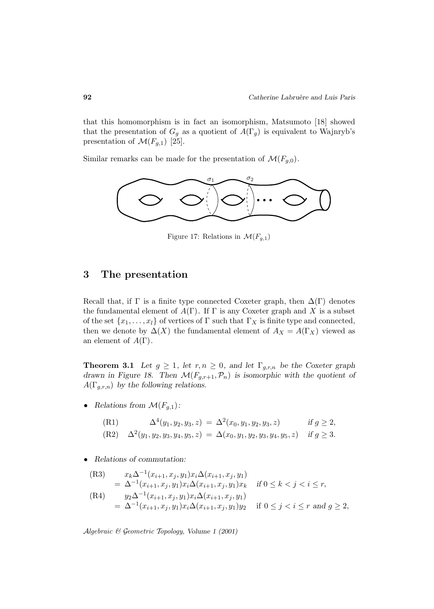that this homomorphism is in fact an isomorphism, Matsumoto [18] showed that the presentation of  $G_g$  as a quotient of  $A(\Gamma_g)$  is equivalent to Wajnryb's presentation of  $\mathcal{M}(F_{g,1})$  [25].

Similar remarks can be made for the presentation of  $\mathcal{M}(F_{g,0})$ .



Figure 17: Relations in  $\mathcal{M}(F_{q,1})$ 

# **3 The presentation**

Recall that, if  $\Gamma$  is a finite type connected Coxeter graph, then  $\Delta(\Gamma)$  denotes the fundamental element of  $A(\Gamma)$ . If  $\Gamma$  is any Coxeter graph and X is a subset of the set  $\{x_1,\ldots,x_l\}$  of vertices of  $\Gamma$  such that  $\Gamma_X$  is finite type and connected, then we denote by  $\Delta(X)$  the fundamental element of  $A_X = A(\Gamma_X)$  viewed as an element of  $A(\Gamma)$ .

**Theorem 3.1** *Let*  $g \geq 1$ *, let*  $r, n \geq 0$ *, and let*  $\Gamma_{g,r,n}$  *be the Coxeter graph drawn in Figure 18. Then*  $\mathcal{M}(F_{g,r+1}, \mathcal{P}_n)$  *is isomorphic with the quotient of*  $A(\Gamma_{g,r,n})$  by the following relations.

Relations from  $\mathcal{M}(F_{g,1})$ :

(R1) 
$$
\Delta^4(y_1, y_2, y_3, z) = \Delta^2(x_0, y_1, y_2, y_3, z) \quad \text{if } g \ge 2,
$$

(R2) 
$$
\Delta^2(y_1, y_2, y_3, y_4, y_5, z) = \Delta(x_0, y_1, y_2, y_3, y_4, y_5, z) \text{ if } g \ge 3.
$$

• *Relations of commutation:*

(R3) 
$$
x_k \Delta^{-1}(x_{i+1}, x_j, y_1) x_i \Delta(x_{i+1}, x_j, y_1)
$$
  
\n
$$
= \Delta^{-1}(x_{i+1}, x_j, y_1) x_i \Delta(x_{i+1}, x_j, y_1) x_k \quad \text{if } 0 \le k < j < i \le r,
$$
  
\n(R4) 
$$
y_2 \Delta^{-1}(x_{i+1}, x_j, y_1) x_i \Delta(x_{i+1}, x_j, y_1)
$$
  
\n
$$
= \Delta^{-1}(x_{i+1}, x_j, y_1) x_i \Delta(x_{i+1}, x_j, y_1) y_2 \quad \text{if } 0 \le j < i \le r \text{ and } g \ge 2,
$$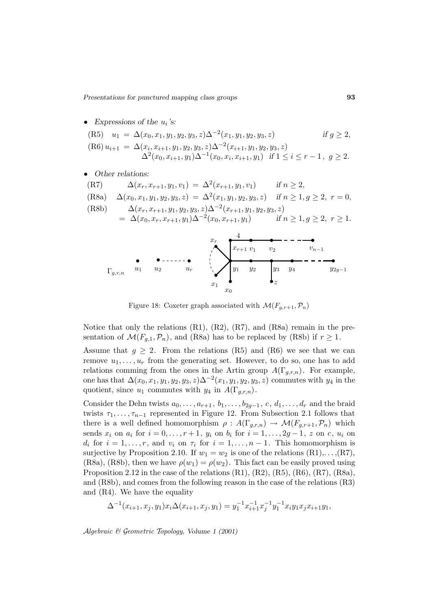- *Expressions of the* ui*'s:* (R5)  $u_1 = \Delta(x_0, x_1, y_1, y_2, y_3, z) \Delta^{-2}(x_1, y_1, y_2, y_3, z)$  *if*  $g \ge 2$ ,  $(R6)$   $u_{i+1} = \Delta(x_i, x_{i+1}, y_1, y_2, y_3, z)\Delta^{-2}(x_{i+1}, y_1, y_2, y_3, z)$  $\Delta^2(x_0, x_{i+1}, y_1)\Delta^{-1}(x_0, x_i, x_{i+1}, y_1)$  *if*  $1 \le i \le r-1$ ,  $g \ge 2$ .
- *Other relations:*
- (R7)  $\Delta(x_r, x_{r+1}, y_1, v_1) = \Delta^2(x_{r+1}, y_1, v_1)$  *if*  $n > 2$ , (R8a)  $\Delta(x_0, x_1, y_1, y_2, y_3, z) = \Delta^2(x_1, y_1, y_2, y_3, z)$  *if*  $n \ge 1, g \ge 2, r = 0$ , (R8b)  $\Delta(x_r, x_{r+1}, y_1, y_2, y_3, z)\Delta^{-2}(x_{r+1}, y_1, y_2, y_3, z)$  $= \Delta(x_0, x_r, x_{r+1}, y_1) \Delta^{-2}(x_0, x_{r+1}, y_1)$  *if*  $n ≥ 1, g ≥ 2, r ≥ 1.$  $v_1$  $v_2$  v<sub>n−1</sub>  $\bar{x}_r$ 4  $x_{r+1}$



Figure 18: Coxeter graph associated with  $\mathcal{M}(F_{q,r+1}, \mathcal{P}_n)$ 

Notice that only the relations (R1), (R2), (R7), and (R8a) remain in the presentation of  $\mathcal{M}(F_{q,1}, \mathcal{P}_n)$ , and (R8a) has to be replaced by (R8b) if  $r \geq 1$ .

Assume that  $g \geq 2$ . From the relations (R5) and (R6) we see that we can remove  $u_1, \ldots, u_r$  from the generating set. However, to do so, one has to add relations comming from the ones in the Artin group  $A(\Gamma_{q,r,n})$ . For example, one has that  $\Delta(x_0, x_1, y_1, y_2, y_3, z)\Delta^{-2}(x_1, y_1, y_2, y_3, z)$  commutes with  $y_4$  in the quotient, since  $u_1$  commutes with  $y_4$  in  $A(\Gamma_{q,r,n})$ .

Consider the Dehn twists  $a_0, \ldots, a_{r+1}, b_1, \ldots, b_{2g-1}, c, d_1, \ldots, d_r$  and the braid twists  $\tau_1, \ldots, \tau_{n-1}$  represented in Figure 12. From Subsection 2.1 follows that there is a well defined homomorphism  $\rho: A(\Gamma_{g,r,n}) \to \mathcal{M}(F_{g,r+1}, \mathcal{P}_n)$  which sends  $x_i$  on  $a_i$  for  $i = 0, ..., r + 1$ ,  $y_i$  on  $b_i$  for  $i = 1, ..., 2g - 1$ , z on c,  $u_i$  on  $d_i$  for  $i = 1, \ldots, r$ , and  $v_i$  on  $\tau_i$  for  $i = 1, \ldots, n - 1$ . This homomorphism is surjective by Proposition 2.10. If  $w_1 = w_2$  is one of the relations  $(R1), \ldots, (R7)$ , (R8a), (R8b), then we have  $\rho(w_1) = \rho(w_2)$ . This fact can be easily proved using Proposition 2.12 in the case of the relations  $(R1)$ ,  $(R2)$ ,  $(R5)$ ,  $(R6)$ ,  $(R7)$ ,  $(R8a)$ , and (R8b), and comes from the following reason in the case of the relations (R3) and (R4). We have the equality

$$
\Delta^{-1}(x_{i+1}, x_j, y_1)x_i\Delta(x_{i+1}, x_j, y_1) = y_1^{-1}x_{i+1}^{-1}x_j^{-1}y_1^{-1}x_iy_1x_jx_{i+1}y_1,
$$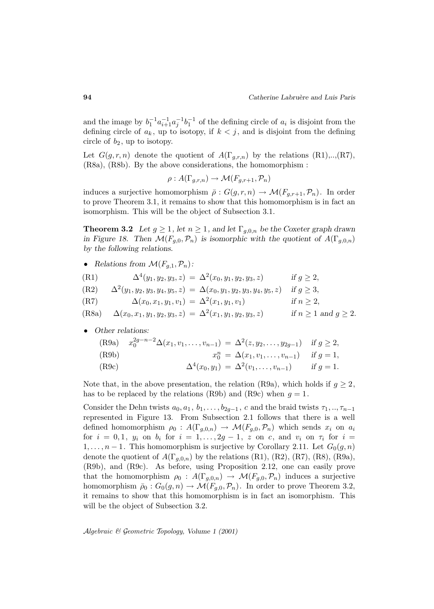and the image by  $b_1^{-1}a_{i+1}^{-1}a_j^{-1}b_1^{-1}$  of the defining circle of  $a_i$  is disjoint from the defining circle of  $a_k$ , up to isotopy, if  $k < j$ , and is disjoint from the defining circle of  $b_2$ , up to isotopy.

Let  $G(g,r,n)$  denote the quotient of  $A(\Gamma_{q,r,n})$  by the relations  $(R1),..., (R7)$ , (R8a), (R8b). By the above considerations, the homomorphism :

$$
\rho: A(\Gamma_{g,r,n}) \to \mathcal{M}(F_{g,r+1}, \mathcal{P}_n)
$$

induces a surjective homomorphism  $\bar{\rho}: G(g,r,n) \to \mathcal{M}(F_{g,r+1}, \mathcal{P}_n)$ . In order to prove Theorem 3.1, it remains to show that this homomorphism is in fact an isomorphism. This will be the object of Subsection 3.1.

**Theorem 3.2** *Let*  $g \geq 1$ *, let*  $n \geq 1$ *, and let*  $\Gamma_{g,0,n}$  *be the Coxeter graph drawn in Figure 18. Then*  $\mathcal{M}(F_{q,0}, \mathcal{P}_n)$  *is isomorphic with the quotient of*  $A(\Gamma_{q,0,n})$ *by the following relations.*

*Relations from*  $\mathcal{M}(F_{q,1}, \mathcal{P}_n)$ :

(R1) 
$$
\Delta^{4}(y_1, y_2, y_3, z) = \Delta^{2}(x_0, y_1, y_2, y_3, z) \quad \text{if } g \ge 2,
$$

(R2) 
$$
\Delta^2(y_1, y_2, y_3, y_4, y_5, z) = \Delta(x_0, y_1, y_2, y_3, y_4, y_5, z) \text{ if } g \ge 3,
$$

(R7) 
$$
\Delta(x_0, x_1, y_1, v_1) = \Delta^2(x_1, y_1, v_1) \quad \text{if } n \ge 2
$$

(R8a) 
$$
\Delta(x_0, x_1, y_1, y_2, y_3, z) = \Delta^2(x_1, y_1, y_2, y_3, z)
$$
 if  $n \ge 1$  and  $g \ge 2$ .

• *Other relations:*

(R9a) 
$$
x_0^{2g-n-2}\Delta(x_1, v_1, \dots, v_{n-1}) = \Delta^2(z, y_2, \dots, y_{2g-1})
$$
 if  $g \ge 2$ ,  
\n(R9b)  $x_0^n = \Delta(x_1, v_1, \dots, v_{n-1})$  if  $g = 1$ ,  
\n(R9c)  $\Delta^4(x_0, y_1) = \Delta^2(v_1, \dots, v_{n-1})$  if  $g = 1$ .

Note that, in the above presentation, the relation (R9a), which holds if  $g \geq 2$ , has to be replaced by the relations (R9b) and (R9c) when  $g = 1$ .

Consider the Dehn twists  $a_0, a_1, b_1, \ldots, b_{2g-1}, c$  and the braid twists  $\tau_1, \ldots, \tau_{n-1}$ represented in Figure 13. From Subsection 2.1 follows that there is a well defined homomorphism  $\rho_0 : A(\Gamma_{g,0,n}) \to \mathcal{M}(F_{g,0}, \mathcal{P}_n)$  which sends  $x_i$  on  $a_i$ for  $i = 0, 1, y_i$  on  $b_i$  for  $i = 1, \ldots, 2g - 1, z$  on c, and  $v_i$  on  $\tau_i$  for  $i =$  $1,\ldots,n-1$ . This homomorphism is surjective by Corollary 2.11. Let  $G_0(g,n)$ denote the quotient of  $A(\Gamma_{q,0,n})$  by the relations  $(R1)$ ,  $(R2)$ ,  $(R7)$ ,  $(R8)$ ,  $(R9a)$ , (R9b), and (R9c). As before, using Proposition 2.12, one can easily prove that the homomorphism  $\rho_0$ :  $A(\Gamma_{g,0,n}) \to \mathcal{M}(F_{g,0}, \mathcal{P}_n)$  induces a surjective homomorphism  $\bar{\rho}_0$ :  $G_0(g,n) \to \mathcal{M}(F_{g,0}, \mathcal{P}_n)$ . In order to prove Theorem 3.2, it remains to show that this homomorphism is in fact an isomorphism. This will be the object of Subsection 3.2.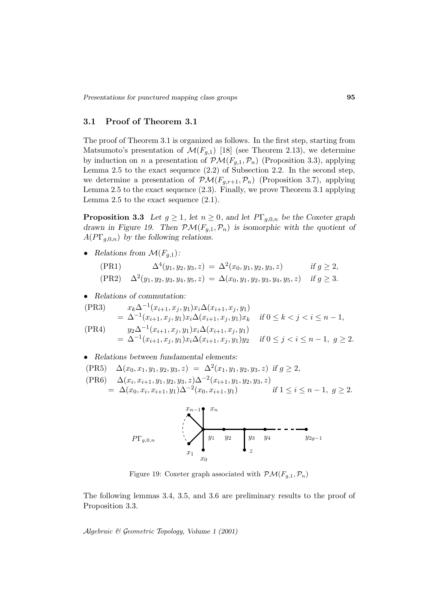## **3.1 Proof of Theorem 3.1**

The proof of Theorem 3.1 is organized as follows. In the first step, starting from Matsumoto's presentation of  $\mathcal{M}(F_{g,1})$  [18] (see Theorem 2.13), we determine by induction on n a presentation of  $\mathcal{PM}(F_{g,1}, \mathcal{P}_n)$  (Proposition 3.3), applying Lemma 2.5 to the exact sequence (2.2) of Subsection 2.2. In the second step, we determine a presentation of  $\mathcal{PM}(F_{g,r+1}, \mathcal{P}_n)$  (Proposition 3.7), applying Lemma 2.5 to the exact sequence (2.3). Finally, we prove Theorem 3.1 applying Lemma 2.5 to the exact sequence  $(2.1)$ .

**Proposition 3.3** *Let*  $g \geq 1$ *, let*  $n \geq 0$ *, and let*  $P\Gamma_{g,0,n}$  *be the Coxeter graph drawn in Figure 19. Then*  $\mathcal{PM}(F_{g,1}, \mathcal{P}_n)$  *is isomorphic with the quotient of*  $A(PT_{a,0,n})$  by the following relations.

• *Relations from*  $\mathcal{M}(F_{a,1})$ *:* 

(PR1)  $\Delta^4(y_1, y_2, y_3, z) = \Delta^2(x_0, y_1, y_2, y_3, z)$  *if*  $g \ge 2$ ,  $(\text{PR2}) \quad \Delta^2(y_1, y_2, y_3, y_4, y_5, z) = \Delta(x_0, y_1, y_2, y_3, y_4, y_5, z) \quad \text{if } g \geq 3.$ 

• *Relations of commutation:*

$$
\begin{aligned}\n(\text{PR3}) \qquad & x_k \Delta^{-1}(x_{i+1}, x_j, y_1) x_i \Delta(x_{i+1}, x_j, y_1) \\
&= \Delta^{-1}(x_{i+1}, x_j, y_1) x_i \Delta(x_{i+1}, x_j, y_1) x_k \quad \text{if } 0 \le k < j < i \le n-1, \\
(\text{PR4}) \qquad & y_2 \Delta^{-1}(x_{i+1}, x_j, y_1) x_i \Delta(x_{i+1}, x_j, y_1) \\
&= \Delta^{-1}(x_{i+1}, x_j, y_1) x_i \Delta(x_{i+1}, x_j, y_1) y_2 \quad \text{if } 0 \le j < i \le n-1, \ g \ge 2.\n\end{aligned}
$$

• *Relations between fundamental elements:*

$$
\begin{aligned} \text{(PR5)} \quad & \Delta(x_0, x_1, y_1, y_2, y_3, z) \; = \; \Delta^2(x_1, y_1, y_2, y_3, z) \; \text{if} \; g \ge 2, \\ \text{(PR6)} \quad & \Delta(x_i, x_{i+1}, y_1, y_2, y_3, z) \Delta^{-2}(x_{i+1}, y_1, y_2, y_3, z) \\ & = \; \Delta(x_0, x_i, x_{i+1}, y_1) \Delta^{-2}(x_0, x_{i+1}, y_1) \qquad \text{if} \; 1 \le i \le n-1, \; g \ge 2. \end{aligned}
$$



Figure 19: Coxeter graph associated with  $\mathcal{PM}(F_{q,1}, \mathcal{P}_n)$ 

The following lemmas 3.4, 3.5, and 3.6 are preliminary results to the proof of Proposition 3.3.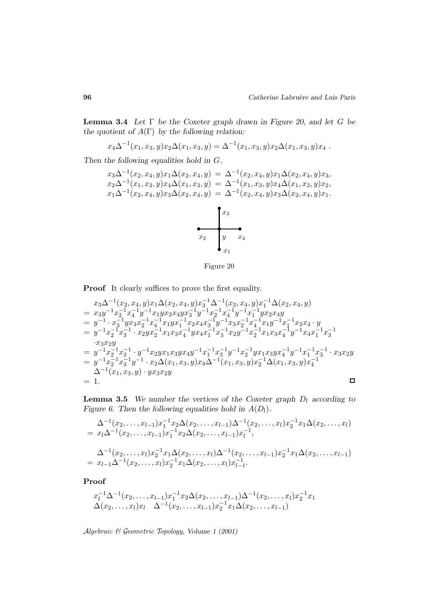**Lemma 3.4** *Let* Γ *be the Coxeter graph drawn in Figure 20, and let* G *be the quotient of* A(Γ) *by the following relation:*

$$
x_4 \Delta^{-1}(x_1, x_3, y) x_2 \Delta(x_1, x_3, y) = \Delta^{-1}(x_1, x_3, y) x_2 \Delta(x_1, x_3, y) x_4.
$$

*Then the following equalities hold in* G*.*

$$
x_3 \Delta^{-1}(x_2, x_4, y)x_1 \Delta(x_2, x_4, y) = \Delta^{-1}(x_2, x_4, y)x_1 \Delta(x_2, x_4, y)x_3,
$$
  
\n
$$
x_2 \Delta^{-1}(x_1, x_3, y)x_4 \Delta(x_1, x_3, y) = \Delta^{-1}(x_1, x_3, y)x_4 \Delta(x_1, x_3, y)x_2,
$$
  
\n
$$
x_1 \Delta^{-1}(x_2, x_4, y)x_3 \Delta(x_2, x_4, y) = \Delta^{-1}(x_2, x_4, y)x_3 \Delta(x_2, x_4, y)x_1.
$$

$$
\begin{array}{c|c}\n & x_3 \\
\hline\n & y & x_4 \\
 & x_1\n\end{array}
$$



**Proof** It clearly suffices to prove the first equality.

$$
\begin{array}{lllllll} & x_3\Delta^{-1}(x_2,x_4,y)x_1\Delta(x_2,x_4,y)x_3^{-1}\Delta^{-1}(x_2,x_4,y)x_1^{-1}\Delta(x_2,x_4,y) \\ & = & x_3y^{-1}x_2^{-1}x_4^{-1}y^{-1}x_1yx_2x_4yx_3^{-1}y^{-1}x_2^{-1}x_4^{-1}y^{-1}x_1^{-1}yx_2x_4y \\ & = & y^{-1}\cdot x_3^{-1}yx_3x_2^{-1}x_4^{-1}x_1yx_1^{-1}x_2x_4x_3^{-1}y^{-1}x_3x_2^{-1}x_4^{-1}x_1y^{-1}x_1^{-1}x_2x_4\cdot y \\ & = & y^{-1}x_2^{-1}x_3^{-1}\cdot x_2yx_2^{-1}x_1x_3x_4^{-1}yx_4x_1^{-1}x_3^{-1}x_2y^{-1}x_2^{-1}x_1x_3x_4^{-1}y^{-1}x_4x_1^{-1}x_3^{-1} \\ & & \cdot x_3x_2y \\ & = & y^{-1}x_2^{-1}x_3^{-1}\cdot y^{-1}x_2yx_1x_3yx_4y^{-1}x_1^{-1}x_3^{-1}y^{-1}x_2^{-1}yx_1x_3yx_4^{-1}y^{-1}x_1^{-1}x_3^{-1}\cdot x_3x_2y \\ & = & y^{-1}x_2^{-1}x_3^{-1}y^{-1}\cdot x_2\Delta(x_1,x_3,y)x_4\Delta^{-1}(x_1,x_3,y)x_2^{-1}\Delta(x_1,x_3,y)x_4^{-1} \\ & & \Delta^{-1}(x_1,x_3,y)\cdot yx_3x_2y \\ & = & 1. \end{array}
$$

**Lemma 3.5** *We number the vertices of the Coxeter graph*  $D_l$  *according to Figure 6. Then the following equalities hold in*  $A(D_l)$ *.* 

$$
\Delta^{-1}(x_2, \ldots, x_{l-1}) x_1^{-1} x_2 \Delta(x_2, \ldots, x_{l-1}) \Delta^{-1}(x_2, \ldots, x_l) x_2^{-1} x_1 \Delta(x_2, \ldots, x_l)
$$
\n
$$
= x_l \Delta^{-1}(x_2, \ldots, x_{l-1}) x_1^{-1} x_2 \Delta(x_2, \ldots, x_{l-1}) x_l^{-1},
$$
\n
$$
\Delta^{-1}(x_2, \ldots, x_l) x_2^{-1} x_1 \Delta(x_2, \ldots, x_l) \Delta^{-1}(x_2, \ldots, x_{l-1}) x_2^{-1} x_1 \Delta(x_2, \ldots, x_{l-1})
$$
\n
$$
= x_{l-1} \Delta^{-1}(x_2, \ldots, x_l) x_2^{-1} x_1 \Delta(x_2, \ldots, x_l) x_{l-1}^{-1}.
$$

**Proof**

$$
x_l^{-1} \Delta^{-1}(x_2, \ldots, x_{l-1}) x_1^{-1} x_2 \Delta(x_2, \ldots, x_{l-1}) \Delta^{-1}(x_2, \ldots, x_l) x_2^{-1} x_1 \Delta(x_2, \ldots, x_l) x_l \Delta^{-1}(x_2, \ldots, x_{l-1}) x_2^{-1} x_1 \Delta(x_2, \ldots, x_{l-1})
$$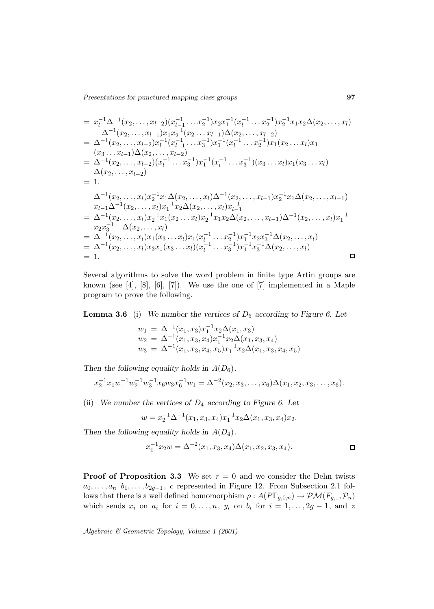$$
= x_{l}^{-1} \Delta^{-1}(x_{2},...,x_{l-2})(x_{l-1}^{-1}...x_{2}^{-1})x_{2}x_{1}^{-1}(x_{l}^{-1}...x_{2}^{-1})x_{2}^{-1}x_{1}x_{2}\Delta(x_{2},...,x_{l})
$$
  
\n
$$
\Delta^{-1}(x_{2},...,x_{l-1})x_{1}x_{2}^{-1}(x_{2}...x_{l-1})\Delta(x_{2},...,x_{l-2})
$$
  
\n
$$
= \Delta^{-1}(x_{2},...,x_{l-2})x_{l}^{-1}(x_{l-1}^{-1}...x_{3}^{-1})x_{1}^{-1}(x_{l}^{-1}...x_{2}^{-1})x_{1}(x_{2}...x_{l})x_{1}
$$
  
\n
$$
(x_{3}...x_{l-1})\Delta(x_{2},...,x_{l-2})
$$
  
\n
$$
= \Delta^{-1}(x_{2},...,x_{l-2})(x_{l}^{-1}...x_{3}^{-1})x_{1}^{-1}(x_{l}^{-1}...x_{3}^{-1})(x_{3}...x_{l})x_{1}(x_{3}...x_{l})
$$
  
\n
$$
\Delta(x_{2},...,x_{l-2})
$$
  
\n
$$
= 1.
$$
  
\n
$$
\Delta^{-1}(x_{2},...,x_{l})x_{2}^{-1}x_{1}\Delta(x_{2},...,x_{l})\Delta^{-1}(x_{2},...,x_{l-1})x_{2}^{-1}x_{1}\Delta(x_{2},...,x_{l-1})
$$
  
\n
$$
x_{l-1}\Delta^{-1}(x_{2},...,x_{l})x_{1}^{-1}x_{2}\Delta(x_{2},...,x_{l})x_{l-1}^{-1}
$$
  
\n
$$
= \Delta^{-1}(x_{2},...,x_{l})x_{2}^{-1}x_{1}(x_{2}...x_{l})x_{2}^{-1}x_{1}x_{2}\Delta(x_{2},...,x_{l-1})\Delta^{-1}(x_{2},...,x_{l})x_{1}^{-1}
$$
  
\n
$$
x_{2}x_{3}^{-1}\Delta(x_{2},...,x_{l})
$$
  
\n
$$
= \Delta^{-1}(x_{2},...,x_{l})x_{1}(x_{3}...x_{l})x_{1}(x_{l}^{-1}...x_{2}^{-1})x_{1}^{-1}x_{2}x_{3}^{-1}\Delta(x
$$

Several algorithms to solve the word problem in finite type Artin groups are known (see  $[4]$ ,  $[8]$ ,  $[6]$ ,  $[7]$ ). We use the one of  $[7]$  implemented in a Maple program to prove the following.

**Lemma 3.6** (i) *We number the vertices of*  $D_6$  *according to Figure 6. Let* 

$$
w_1 = \Delta^{-1}(x_1, x_3)x_1^{-1}x_2\Delta(x_1, x_3)
$$
  
\n
$$
w_2 = \Delta^{-1}(x_1, x_3, x_4)x_1^{-1}x_2\Delta(x_1, x_3, x_4)
$$
  
\n
$$
w_3 = \Delta^{-1}(x_1, x_3, x_4, x_5)x_1^{-1}x_2\Delta(x_1, x_3, x_4, x_5)
$$

*Then the following equality holds in*  $A(D_6)$ *.* 

$$
x_2^{-1}x_1w_1^{-1}w_2^{-1}w_3^{-1}x_6w_3x_6^{-1}w_1 = \Delta^{-2}(x_2, x_3, \dots, x_6)\Delta(x_1, x_2, x_3, \dots, x_6).
$$

(ii) *We number the vertices of* D<sup>4</sup> *according to Figure 6. Let*

$$
w = x_2^{-1} \Delta^{-1}(x_1, x_3, x_4) x_1^{-1} x_2 \Delta(x_1, x_3, x_4) x_2.
$$

*Then the following equality holds in*  $A(D_4)$ *.* 

$$
x_1^{-1}x_2w = \Delta^{-2}(x_1, x_3, x_4)\Delta(x_1, x_2, x_3, x_4).
$$

**Proof of Proposition 3.3** We set  $r = 0$  and we consider the Dehn twists  $a_0, \ldots, a_n$   $b_1, \ldots, b_{2q-1}, c$  represented in Figure 12. From Subsection 2.1 follows that there is a well defined homomorphism  $\rho: A(PT_{g,0,n}) \to \mathcal{PM}(F_{g,1}, \mathcal{P}_n)$ which sends  $x_i$  on  $a_i$  for  $i = 0, \ldots, n$ ,  $y_i$  on  $b_i$  for  $i = 1, \ldots, 2g - 1$ , and z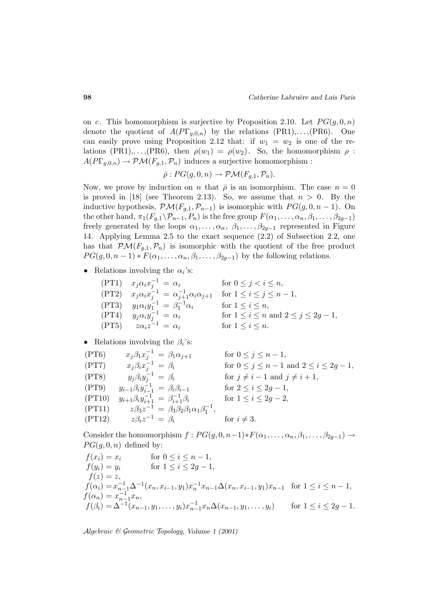on c. This homomorphism is surjective by Proposition 2.10. Let  $PG(g, 0, n)$ denote the quotient of  $A(PT_{g,0,n})$  by the relations  $(PR1), \ldots, (PR6)$ . One can easily prove using Proposition 2.12 that: if  $w_1 = w_2$  is one of the relations (PR1),...,(PR6), then  $\rho(w_1) = \rho(w_2)$ . So, the homomorphism  $\rho$ :  $A(PT_{g,0,n}) \to \mathcal{PM}(F_{g,1}, \mathcal{P}_n)$  induces a surjective homomorphism :

$$
\bar{\rho}: PG(g, 0, n) \to \mathcal{PM}(F_{g,1}, \mathcal{P}_n).
$$

Now, we prove by induction on n that  $\bar{\rho}$  is an isomorphism. The case  $n = 0$ is proved in [18] (see Theorem 2.13). So, we assume that  $n > 0$ . By the inductive hypothesis,  $\mathcal{PM}(F_{g,1}, \mathcal{P}_{n-1})$  is isomorphic with  $PG(g, 0, n-1)$ . On the other hand,  $\pi_1(F_{g,1}\setminus\mathcal{P}_{n-1}, P_n)$  is the free group  $F(\alpha_1,\ldots,\alpha_n,\beta_1,\ldots,\beta_{2g-1})$ freely generated by the loops  $\alpha_1, \ldots, \alpha_n, \beta_1, \ldots, \beta_{2g-1}$  represented in Figure 14. Applying Lemma 2.5 to the exact sequence (2.2) of Subsection 2.2, one has that  $\mathcal{PM}(F_{q,1}, \mathcal{P}_n)$  is isomorphic with the quotient of the free product  $PG(g, 0, n-1) * F(\alpha_1, \ldots, \alpha_n, \beta_1, \ldots, \beta_{2g-1})$  by the following relations.

• Relations involving the  $\alpha_i$ 's:

$$
\begin{array}{ll}\n\text{(PT1)} & x_j \alpha_i x_j^{-1} = \alpha_i & \text{for } 0 \le j < i \le n, \\
\text{(PT2)} & x_j \alpha_i x_j^{-1} = \alpha_{j+1}^{-1} \alpha_i \alpha_{j+1} & \text{for } 1 \le i \le j \le n-1, \\
\text{(PT3)} & y_1 \alpha_i y_1^{-1} = \beta_1^{-1} \alpha_i & \text{for } 1 \le i \le n, \\
\text{(PT4)} & y_j \alpha_i y_j^{-1} = \alpha_i & \text{for } 1 \le i \le n \text{ and } 2 \le j \le 2g-1, \\
\text{(PT5)} & z \alpha_i z^{-1} = \alpha_i & \text{for } 1 \le i \le n.\n\end{array}
$$

## • Relations involving the  $\beta_i$ 's:

$$
(PT6) \t x_j \beta_1 x_j^{-1} = \beta_1 \alpha_{j+1} \t for \t 0 \le j \le n-1,\n(PT7) \t x_j \beta_i x_j^{-1} = \beta_i \t for \t 0 \le j \le n-1 \t and \t 2 \le i \le 2g-1,\n(PT8) \t y_j \beta_i y_j^{-1} = \beta_i \t for \t j \ne i-1 \t and \t j \ne i+1,\n(PT9) \t y_{i-1} \beta_i y_{i-1}^{-1} = \beta_i \beta_{i-1} \t for \t 2 \le i \le 2g-1,\n(PT10) \t y_{i+1} \beta_i y_{i+1}^{-1} = \beta_{i+1}^{-1} \beta_i \t for \t 1 \le i \le 2g-2,\n(PT11) \t z \beta_i z^{-1} = \beta_3 \beta_2 \beta_1 \alpha_1 \beta_1^{-1}, \t for \t i \ne 3.
$$

Consider the homomorphism  $f : PG(g, 0, n-1) * F(\alpha_1, \ldots, \alpha_n, \beta_1, \ldots, \beta_{2q-1}) \rightarrow$  $PG(g, 0, n)$  defined by:

$$
f(x_i) = x_i \qquad \text{for } 0 \le i \le n-1,
$$
  
\n
$$
f(y_i) = y_i \qquad \text{for } 1 \le i \le 2g-1,
$$
  
\n
$$
f(z) = z,
$$
  
\n
$$
f(\alpha_i) = x_{n-1}^{-1} \Delta^{-1} (x_n, x_{i-1}, y_1) x_n^{-1} x_{n-1} \Delta(x_n, x_{i-1}, y_1) x_{n-1} \quad \text{for } 1 \le i \le n-1,
$$
  
\n
$$
f(\alpha_n) = x_{n-1}^{-1} x_n,
$$
  
\n
$$
f(\beta_i) = \Delta^{-1} (x_{n-1}, y_1, \dots, y_i) x_{n-1}^{-1} x_n \Delta(x_{n-1}, y_1, \dots, y_i) \qquad \text{for } 1 \le i \le 2g-1.
$$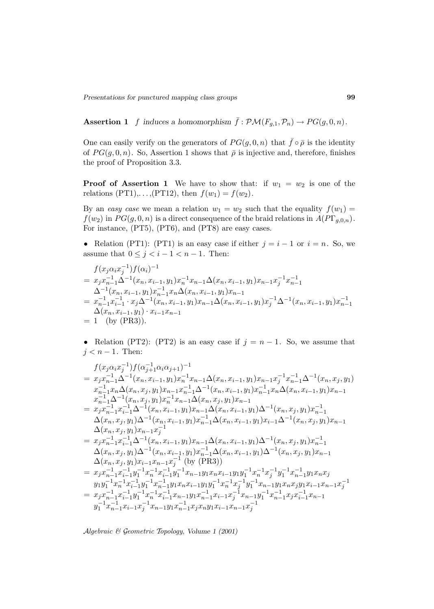**Assertion 1** f induces a homomorphism  $\bar{f}: \mathcal{PM}(F_{g,1}, \mathcal{P}_n) \to PG(g, 0, n)$ .

One can easily verify on the generators of  $PG(g, 0, n)$  that  $\bar{f} \circ \bar{\rho}$  is the identity of  $PG(g, 0, n)$ . So, Assertion 1 shows that  $\overline{\rho}$  is injective and, therefore, finishes the proof of Proposition 3.3.

**Proof of Assertion 1** We have to show that: if  $w_1 = w_2$  is one of the relations (PT1),..., (PT12), then  $f(w_1) = f(w_2)$ .

By an easy case we mean a relation  $w_1 = w_2$  such that the equality  $f(w_1) =$  $f(w_2)$  in  $PG(g, 0, n)$  is a direct consequence of the braid relations in  $A(PT_{g,0,n})$ . For instance, (PT5), (PT6), and (PT8) are easy cases.

• Relation (PT1): (PT1) is an easy case if either  $j = i - 1$  or  $i = n$ . So, we assume that  $0 \leq j < i-1 < n-1$ . Then:

$$
f(x_j \alpha_i x_j^{-1}) f(\alpha_i)^{-1}
$$
  
=  $x_j x_{n-1}^{-1} \Delta^{-1} (x_n, x_{i-1}, y_1) x_n^{-1} x_{n-1} \Delta(x_n, x_{i-1}, y_1) x_{n-1} x_j^{-1} x_{n-1}^{-1}$   

$$
\Delta^{-1} (x_n, x_{i-1}, y_1) x_{n-1}^{-1} x_n \Delta(x_n, x_{i-1}, y_1) x_{n-1}
$$
  
=  $x_{n-1}^{-1} x_{i-1}^{-1} \cdot x_j \Delta^{-1} (x_n, x_{i-1}, y_1) x_{n-1} \Delta(x_n, x_{i-1}, y_1) x_j^{-1} \Delta^{-1} (x_n, x_{i-1}, y_1) x_{n-1}^{-1}$   

$$
\Delta(x_n, x_{i-1}, y_1) \cdot x_{i-1} x_{n-1}
$$
  
= 1 (by (PR3)).

• Relation (PT2): (PT2) is an easy case if  $j = n - 1$ . So, we assume that  $j < n - 1$ . Then:

$$
f(x_{j}\alpha_{i}x_{j}^{-1})f(\alpha_{j+1}^{-1}\alpha_{i}\alpha_{j+1})^{-1}
$$
\n
$$
= x_{j}x_{n-1}^{-1}\Delta^{-1}(x_{n}, x_{i-1}, y_{1})x_{n}^{-1}x_{n-1}\Delta(x_{n}, x_{i-1}, y_{1})x_{n-1}x_{j}^{-1}x_{n-1}\Delta^{-1}(x_{n}, x_{j}, y_{1})
$$
\n
$$
x_{n-1}^{-1}x_{n}\Delta(x_{n}, x_{j}, y_{1})x_{n-1}x_{n-1}^{-1}\Delta^{-1}(x_{n}, x_{i-1}, y_{1})x_{n-1}^{-1}x_{n}\Delta(x_{n}, x_{i-1}, y_{1})x_{n-1}
$$
\n
$$
x_{n-1}^{-1}\Delta^{-1}(x_{n}, x_{j}, y_{1})x_{n-1}^{-1}x_{n-1}\Delta(x_{n}, x_{j}, y_{1})x_{n-1}
$$
\n
$$
= x_{j}x_{n-1}^{-1}x_{i-1}^{-1}\Delta^{-1}(x_{n}, x_{i-1}, y_{1})x_{n-1}\Delta(x_{n}, x_{i-1}, y_{1})\Delta^{-1}(x_{n}, x_{j}, y_{1})x_{n-1}
$$
\n
$$
\Delta(x_{n}, x_{j}, y_{1})\Delta^{-1}(x_{n}, x_{i-1}, y_{1})x_{n-1}\Delta(x_{n}, x_{i-1}, y_{1})x_{i-1}\Delta^{-1}(x_{n}, x_{j}, y_{1})x_{n-1}
$$
\n
$$
\Delta(x_{n}, x_{j}, y_{1})x_{n-1}x_{j}^{-1}
$$
\n
$$
= x_{j}x_{n-1}^{-1}x_{i-1}^{-1}\Delta^{-1}(x_{n}, x_{i-1}, y_{1})x_{n-1}\Delta(x_{n}, x_{i-1}, y_{1})x_{i-1}\Delta^{-1}(x_{n}, x_{j}, y_{1})x_{n-1}
$$
\n
$$
\Delta(x_{n}, x_{j}, y_{1})\Delta^{-1}(x_{n}, x_{i-1}, y_{1})x_{n-1}\Delta(x_{n}, x_{i-1}, y_{1})\Delta^{-1}(x_{n}, x_{j}, y_{1})x_{n-1}
$$
\n
$$
\Delta(x_{n}, x_{j}, y_{1})\Delta^{-1}(x_{n}, x_{i-1}, y_{1})
$$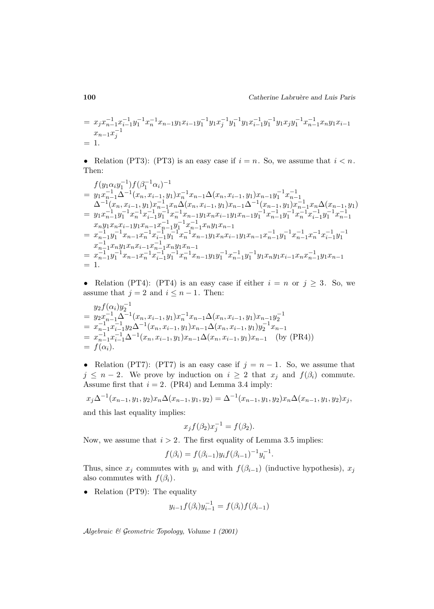$$
= x_j x_{n-1}^{-1} x_{i-1}^{-1} y_1^{-1} x_n^{-1} x_{n-1} y_1 x_{i-1} y_1^{-1} y_1 x_j^{-1} y_1^{-1} y_1 x_{i-1}^{-1} y_1^{-1} y_1 x_j y_1^{-1} x_{n-1}^{-1} x_n y_1 x_{i-1}
$$
  
= 1.

• Relation (PT3): (PT3) is an easy case if  $i = n$ . So, we assume that  $i < n$ . Then:

$$
f(y_1\alpha_i y_1^{-1})f(\beta_1^{-1}\alpha_i)^{-1}
$$
\n
$$
= y_1x_{n-1}^{-1}\Delta^{-1}(x_n, x_{i-1}, y_1)x_n^{-1}x_{n-1}\Delta(x_n, x_{i-1}, y_1)x_{n-1}y_1^{-1}x_{n-1}^{-1}
$$
\n
$$
\Delta^{-1}(x_n, x_{i-1}, y_1)x_{n-1}^{-1}x_n\Delta(x_n, x_{i-1}, y_1)x_{n-1}\Delta^{-1}(x_{n-1}, y_1)x_{n-1}^{-1}x_n\Delta(x_{n-1}, y_1)
$$
\n
$$
= y_1x_{n-1}^{-1}y_1^{-1}x_n^{-1}x_{i-1}^{-1}y_1^{-1}x_n^{-1}x_{n-1}y_1x_nx_{i-1}y_1x_{n-1}y_1^{-1}x_{n-1}^{-1}y_1^{-1}x_{n-1}^{-1}y_1^{-1}x_{n-1}^{-1}
$$
\n
$$
x_ny_1x_nx_{i-1}y_1x_{n-1}x_{n-1}^{-1}y_1^{-1}x_{n-1}^{-1}x_ny_1x_{n-1}
$$
\n
$$
= x_{n-1}^{-1}y_1^{-1}x_{n-1}x_n^{-1}x_{i-1}^{-1}y_1^{-1}x_n^{-1}x_ny_1x_{n-1}
$$
\n
$$
= x_{n-1}^{-1}y_1^{-1}x_{n-1}x_n^{-1}x_{i-1}^{-1}y_1^{-1}x_n^{-1}x_{n-1}y_1x_{n-1}y_1x_{n-1}x_{n-1}^{-1}y_1^{-1}x_n^{-1}x_{i-1}^{-1}y_1^{-1}
$$
\n
$$
x_{n-1}^{-1}x_ny_1x_{n-1}x_{n-1}^{-1}x_ny_1x_{n-1}
$$
\n
$$
= x_{n-1}^{-1}y_1^{-1}x_{n-1}x_n^{-1}x_{i-1}^{-1}y_1^{-1}x_n^{-1}x_{n-1}y_1y_1^{-1}x_{n-1}^{-1}y_1x_{n-1}y_1x_{n-1}
$$
\n
$$
= 1.
$$

• Relation (PT4): (PT4) is an easy case if either  $i = n$  or  $j \ge 3$ . So, we assume that  $j = 2$  and  $i \leq n - 1$ . Then:

$$
y_2 f(\alpha_i) y_2^{-1}
$$
  
=  $y_2 x_{n-1}^{-1} \Delta^{-1} (x_n, x_{i-1}, y_1) x_n^{-1} x_{n-1} \Delta(x_n, x_{i-1}, y_1) x_{n-1} y_2^{-1}$   
=  $x_{n-1}^{-1} x_{i-1}^{-1} y_2 \Delta^{-1} (x_n, x_{i-1}, y_1) x_{n-1} \Delta(x_n, x_{i-1}, y_1) y_2^{-1} x_{n-1}$   
=  $x_{n-1}^{-1} x_{i-1}^{-1} \Delta^{-1} (x_n, x_{i-1}, y_1) x_{n-1} \Delta(x_n, x_{i-1}, y_1) x_{n-1}$  (by (PR4))  
=  $f(\alpha_i)$ .

• Relation (PT7): (PT7) is an easy case if  $j = n - 1$ . So, we assume that  $j \leq n-2$ . We prove by induction on  $i \geq 2$  that  $x_j$  and  $f(\beta_i)$  commute. Assume first that  $i = 2$ . (PR4) and Lemma 3.4 imply:

$$
x_j \Delta^{-1}(x_{n-1}, y_1, y_2) x_n \Delta(x_{n-1}, y_1, y_2) = \Delta^{-1}(x_{n-1}, y_1, y_2) x_n \Delta(x_{n-1}, y_1, y_2) x_j,
$$
  
and this last equality implies:

and this last equality implies:

$$
x_j f(\beta_2) x_j^{-1} = f(\beta_2).
$$

Now, we assume that  $i > 2$ . The first equality of Lemma 3.5 implies:

$$
f(\beta_i) = f(\beta_{i-1}) y_i f(\beta_{i-1})^{-1} y_i^{-1}.
$$

Thus, since  $x_j$  commutes with  $y_i$  and with  $f(\beta_{i-1})$  (inductive hypothesis),  $x_j$ also commutes with  $f(\beta_i)$ .

• Relation (PT9): The equality

$$
y_{i-1}f(\beta_i)y_{i-1}^{-1} = f(\beta_i)f(\beta_{i-1})
$$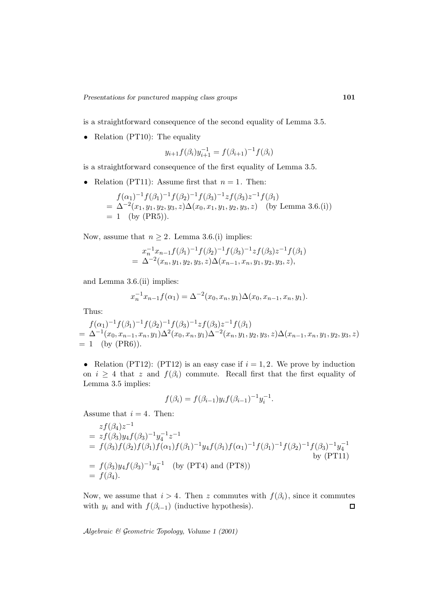is a straightforward consequence of the second equality of Lemma 3.5.

• Relation (PT10): The equality

$$
y_{i+1}f(\beta_i)y_{i+1}^{-1} = f(\beta_{i+1})^{-1}f(\beta_i)
$$

is a straightforward consequence of the first equality of Lemma 3.5.

• Relation (PT11): Assume first that  $n = 1$ . Then:

$$
f(\alpha_1)^{-1} f(\beta_1)^{-1} f(\beta_2)^{-1} f(\beta_3)^{-1} z f(\beta_3) z^{-1} f(\beta_1)
$$
  
=  $\Delta^{-2}(x_1, y_1, y_2, y_3, z) \Delta(x_0, x_1, y_1, y_2, y_3, z)$  (by Lemma 3.6.(i))  
= 1 (by (PR5)).

Now, assume that  $n \geq 2$ . Lemma 3.6.(i) implies:

$$
x_n^{-1}x_{n-1}f(\beta_1)^{-1}f(\beta_2)^{-1}f(\beta_3)^{-1}zf(\beta_3)z^{-1}f(\beta_1)
$$
  
=  $\Delta^{-2}(x_n, y_1, y_2, y_3, z)\Delta(x_{n-1}, x_n, y_1, y_2, y_3, z),$ 

and Lemma 3.6.(ii) implies:

$$
x_n^{-1}x_{n-1}f(\alpha_1) = \Delta^{-2}(x_0, x_n, y_1)\Delta(x_0, x_{n-1}, x_n, y_1).
$$

Thus:

$$
f(\alpha_1)^{-1} f(\beta_1)^{-1} f(\beta_2)^{-1} f(\beta_3)^{-1} z f(\beta_3) z^{-1} f(\beta_1)
$$
  
=  $\Delta^{-1}(x_0, x_{n-1}, x_n, y_1) \Delta^2(x_0, x_n, y_1) \Delta^{-2}(x_n, y_1, y_2, y_3, z) \Delta(x_{n-1}, x_n, y_1, y_2, y_3, z)$   
= 1 (by (PR6)).

• Relation (PT12): (PT12) is an easy case if  $i = 1, 2$ . We prove by induction on  $i \geq 4$  that z and  $f(\beta_i)$  commute. Recall first that the first equality of Lemma 3.5 implies:

$$
f(\beta_i) = f(\beta_{i-1}) y_i f(\beta_{i-1})^{-1} y_i^{-1}.
$$

Assume that  $i = 4$ . Then:

$$
zf(\beta_4)z^{-1}
$$
  
=  $zf(\beta_3)y_4f(\beta_3)^{-1}y_4^{-1}z^{-1}$   
=  $f(\beta_3)f(\beta_2)f(\beta_1)f(\alpha_1)f(\beta_1)^{-1}y_4f(\beta_1)f(\alpha_1)^{-1}f(\beta_1)^{-1}f(\beta_2)^{-1}f(\beta_3)^{-1}y_4^{-1}$   
=  $f(\beta_3)y_4f(\beta_3)^{-1}y_4^{-1}$  (by (PT4) and (PT8))  
=  $f(\beta_4)$ .

Now, we assume that  $i > 4$ . Then z commutes with  $f(\beta_i)$ , since it commutes with  $y_i$  and with  $f(\beta_{i-1})$  (inductive hypothesis).  $\square$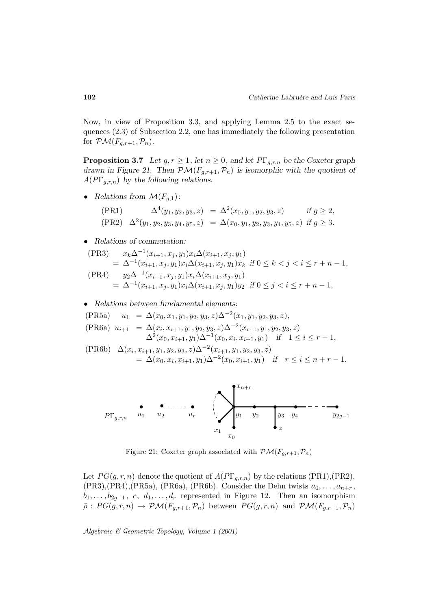Now, in view of Proposition 3.3, and applying Lemma 2.5 to the exact sequences (2.3) of Subsection 2.2, one has immediately the following presentation for  $\mathcal{PM}(F_{g,r+1}, \mathcal{P}_n)$ .

**Proposition 3.7** *Let*  $g, r \geq 1$ *, let*  $n \geq 0$ *, and let*  $P\Gamma_{g,r,n}$  *be the Coxeter graph drawn in Figure 21. Then*  $\mathcal{PM}(F_{g,r+1}, \mathcal{P}_n)$  *is isomorphic with the quotient of* A(PΓg,r,n) *by the following relations.*

• *Relations from*  $\mathcal{M}(F_{g,1})$ *:* 

$$
\begin{aligned}\n(\text{PR1}) \quad &\Delta^4(y_1, y_2, y_3, z) = \Delta^2(x_0, y_1, y_2, y_3, z) \quad \text{if } g \ge 2, \\
(\text{PR2}) \quad &\Delta^2(y_1, y_2, y_3, y_4, y_5, z) = \Delta(x_0, y_1, y_2, y_3, y_4, y_5, z) \quad \text{if } g \ge 3.\n\end{aligned}
$$

• *Relations of commutation:*

$$
\begin{aligned} \text{(PR3)} \quad & x_k \Delta^{-1}(x_{i+1}, x_j, y_1) x_i \Delta(x_{i+1}, x_j, y_1) \\ &= \Delta^{-1}(x_{i+1}, x_j, y_1) x_i \Delta(x_{i+1}, x_j, y_1) x_k \text{ if } 0 \le k < j < i \le r + n - 1, \\ \text{(PR4)} \quad & y_2 \Delta^{-1}(x_{i+1}, x_j, y_1) x_i \Delta(x_{i+1}, x_j, y_1) \\ &= \Delta^{-1}(x_{i+1}, x_j, y_1) x_i \Delta(x_{i+1}, x_j, y_1) y_2 \text{ if } 0 \le j < i \le r + n - 1, \end{aligned}
$$

#### • *Relations between fundamental elements:*

(PR5a)  $u_1 = \Delta(x_0, x_1, y_1, y_2, y_3, z)\Delta^{-2}(x_1, y_1, y_2, y_3, z),$ 

$$
\begin{array}{lll} \text{(PR6a)} \ \ u_{i+1} &= \Delta(x_i, x_{i+1}, y_1, y_2, y_3, z) \Delta^{-2}(x_{i+1}, y_1, y_2, y_3, z) \\ & \Delta^2(x_0, x_{i+1}, y_1) \Delta^{-1}(x_0, x_i, x_{i+1}, y_1) \quad \text{if} \quad 1 \le i \le r-1, \end{array}
$$

$$
\begin{aligned} \text{(PR6b)} \quad &\Delta(x_i, x_{i+1}, y_1, y_2, y_3, z) \Delta^{-2}(x_{i+1}, y_1, y_2, y_3, z) \\ &= \Delta(x_0, x_i, x_{i+1}, y_1) \Delta^{-2}(x_0, x_{i+1}, y_1) \quad \text{if} \quad r \le i \le n+r-1. \end{aligned}
$$



Figure 21: Coxeter graph associated with  $\mathcal{PM}(F_{g,r+1},\mathcal{P}_n)$ 

Let  $PG(g,r,n)$  denote the quotient of  $A(PT_{g,r,n})$  by the relations (PR1),(PR2),  $(PR3)$ ,  $(PR4)$ ,  $(PR5a)$ ,  $(PR6a)$ ,  $(PR6b)$ . Consider the Dehn twists  $a_0, \ldots, a_{n+r}$ ,  $b_1, \ldots, b_{2q-1}, c, d_1, \ldots, d_r$  represented in Figure 12. Then an isomorphism  $\bar{\rho}: PG(g,r,n) \rightarrow \mathcal{PM}(F_{g,r+1}, \mathcal{P}_n)$  between  $PG(g,r,n)$  and  $\mathcal{PM}(F_{g,r+1}, \mathcal{P}_n)$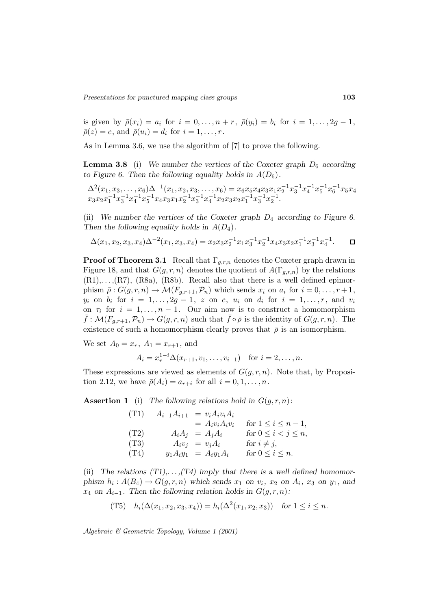is given by  $\bar{\rho}(x_i) = a_i$  for  $i = 0, \ldots, n + r$ ,  $\bar{\rho}(y_i) = b_i$  for  $i = 1, \ldots, 2g - 1$ ,  $\bar{\rho}(z) = c$ , and  $\bar{\rho}(u_i) = d_i$  for  $i = 1, \ldots, r$ .

As in Lemma 3.6, we use the algorithm of [7] to prove the following.

**Lemma 3.8** (i) We number the vertices of the Coxeter graph  $D_6$  according *to Figure 6. Then the following equality holds in*  $A(D_6)$ .

$$
\Delta^{2}(x_{1}, x_{3}, \ldots, x_{6}) \Delta^{-1}(x_{1}, x_{2}, x_{3}, \ldots, x_{6}) = x_{6}x_{5}x_{4}x_{3}x_{1}x_{2}^{-1}x_{3}^{-1}x_{4}^{-1}x_{5}^{-1}x_{6}^{-1}x_{5}x_{4}
$$
  

$$
x_{3}x_{2}x_{1}^{-1}x_{3}^{-1}x_{4}^{-1}x_{5}^{-1}x_{4}x_{3}x_{1}x_{2}^{-1}x_{3}^{-1}x_{4}^{-1}x_{2}x_{3}x_{2}x_{1}^{-1}x_{3}^{-1}x_{2}^{-1}.
$$

(ii) *We number the vertices of the Coxeter graph* D<sup>4</sup> *according to Figure 6. Then the following equality holds in*  $A(D_4)$ *.* 

$$
\Delta(x_1, x_2, x_3, x_4) \Delta^{-2}(x_1, x_3, x_4) = x_2 x_3 x_2^{-1} x_1 x_3^{-1} x_2^{-1} x_4 x_3 x_2 x_1^{-1} x_3^{-1} x_4^{-1}.
$$

**Proof of Theorem 3.1** Recall that  $\Gamma_{q,r,n}$  denotes the Coxeter graph drawn in Figure 18, and that  $G(g, r, n)$  denotes the quotient of  $A(\Gamma_{g,r,n})$  by the relations  $(R1),..., (R7), (R8a), (R8b).$  Recall also that there is a well defined epimorphism  $\bar{\rho}: G(g,r,n) \to \mathcal{M}(F_{g,r+1}, \mathcal{P}_n)$  which sends  $x_i$  on  $a_i$  for  $i = 0, \ldots, r+1$ ,  $y_i$  on  $b_i$  for  $i = 1, ..., 2g - 1$ , z on c,  $u_i$  on  $d_i$  for  $i = 1, ..., r$ , and  $v_i$ on  $\tau_i$  for  $i = 1, ..., n - 1$ . Our aim now is to construct a homomorphism  $\bar{f} : \mathcal{M}(F_{q,r+1}, \mathcal{P}_n) \to G(g,r,n)$  such that  $\bar{f} \circ \bar{\rho}$  is the identity of  $G(g,r,n)$ . The existence of such a homomorphism clearly proves that  $\bar{\rho}$  is an isomorphism.

We set  $A_0 = x_r$ ,  $A_1 = x_{r+1}$ , and

$$
A_i = x_r^{1-i} \Delta(x_{r+1}, v_1, \dots, v_{i-1})
$$
 for  $i = 2, \dots, n$ .

These expressions are viewed as elements of  $G(g, r, n)$ . Note that, by Proposition 2.12, we have  $\bar{\rho}(A_i) = a_{r+i}$  for all  $i = 0, 1, \ldots, n$ .

**Assertion 1** (i) The following relations hold in  $G(g, r, n)$ :

| (T1) | $A_{i-1}A_{i+1}$ | $= v_i A_i v_i A_i$         |                             |
|------|------------------|-----------------------------|-----------------------------|
|      |                  | $= A_i v_i A_i v_i$         | for $1 \leq i \leq n-1$ ,   |
| (T2) |                  | $A_iA_j = A_jA_i$           | for $0 \leq i < j \leq n$ , |
| (T3) |                  | $A_i v_j = v_j A_i$         | for $i \neq j$ ,            |
| (T4) |                  | $y_1 A_i y_1 = A_i y_1 A_i$ | for $0 \leq i \leq n$ .     |

(ii) The relations  $(T1), \ldots, (T4)$  imply that there is a well defined homomor*phism*  $h_i: A(B_4) \to G(g,r,n)$  *which sends*  $x_1$  *on*  $v_i$ *,*  $x_2$  *on*  $A_i$ *,*  $x_3$  *on*  $y_1$ *, and*  $x_4$  *on*  $A_{i-1}$ *. Then the following relation holds in*  $G(g, r, n)$ *:* 

(T5) 
$$
h_i(\Delta(x_1, x_2, x_3, x_4)) = h_i(\Delta^2(x_1, x_2, x_3))
$$
 for  $1 \le i \le n$ .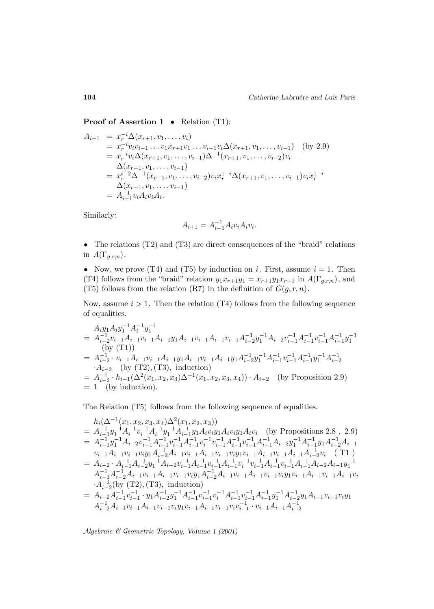**Proof of Assertion 1** • Relation (T1):

$$
A_{i+1} = x_r^{-i} \Delta(x_{r+1}, v_1, \dots, v_i)
$$
  
\n
$$
= x_r^{-i} v_i v_{i-1} \dots v_1 x_{r+1} v_1 \dots v_{i-1} v_i \Delta(x_{r+1}, v_1, \dots, v_{i-1})
$$
 (by 2.9)  
\n
$$
= x_r^{-i} v_i \Delta(x_{r+1}, v_1, \dots, v_{i-1}) \Delta^{-1}(x_{r+1}, v_1, \dots, v_{i-2}) v_i
$$
  
\n
$$
\Delta(x_{r+1}, v_1, \dots, v_{i-1})
$$
  
\n
$$
= x_r^{i-2} \Delta^{-1}(x_{r+1}, v_1, \dots, v_{i-2}) v_i x_r^{1-i} \Delta(x_{r+1}, v_1, \dots, v_{i-1}) v_i x_r^{1-i}
$$
  
\n
$$
\Delta(x_{r+1}, v_1, \dots, v_{i-1})
$$
  
\n
$$
= A_{i-1}^{-1} v_i A_i v_i A_i.
$$

Similarly:

$$
A_{i+1} = A_{i-1}^{-1} A_i v_i A_i v_i.
$$

• The relations (T2) and (T3) are direct consequences of the "braid" relations in  $A(\Gamma_{g,r,n})$ .

• Now, we prove (T4) and (T5) by induction on i. First, assume  $i = 1$ . Then (T4) follows from the "braid" relation  $y_1x_{r+1}y_1 = x_{r+1}y_1x_{r+1}$  in  $A(\Gamma_{g,r,n})$ , and (T5) follows from the relation (R7) in the definition of  $G(g,r,n)$ .

Now, assume  $i > 1$ . Then the relation (T4) follows from the following sequence of equalities.

$$
A_{i}y_{1}A_{i}y_{1}^{-1}A_{i}^{-1}y_{1}^{-1}
$$
\n
$$
= A_{i-2}^{-1}v_{i-1}A_{i-1}v_{i-1}A_{i-1}v_{i-1}A_{i-1}v_{i-1}A_{i-2}^{-1}y_{1}^{-1}A_{i-2}v_{i-1}^{-1}A_{i-1}^{-1}v_{i-1}^{-1}A_{i-1}^{-1}y_{1}^{-1}
$$
\n(by (T1))\n
$$
= A_{i-2}^{-1} \cdot v_{i-1}A_{i-1}v_{i-1}A_{i-1}y_{1}A_{i-1}v_{i-1}A_{i-1}y_{1}A_{i-2}^{-1}y_{1}^{-1}A_{i-1}^{-1}v_{i-1}^{-1}A_{i-1}^{-1}y_{1}^{-1}A_{i-2}^{-1}
$$
\n
$$
A_{i-2}^{-1}
$$
 (by (T2), (T3), induction)\n
$$
= A_{i-2}^{-1} \cdot h_{i-1}(\Delta^{2}(x_{1}, x_{2}, x_{3})\Delta^{-1}(x_{1}, x_{2}, x_{3}, x_{4})) \cdot A_{i-2}
$$
 (by Proposition 2.9)\n
$$
= 1
$$
 (by induction).

The Relation (T5) follows from the following sequence of equalities.

$$
h_{i}(\Delta^{-1}(x_{1}, x_{2}, x_{3}, x_{4})\Delta^{2}(x_{1}, x_{2}, x_{3}))
$$
\n
$$
= A_{i-1}^{-1}y_{1}^{-1}A_{i}^{-1}v_{i}^{-1}A_{i-1}^{-1}y_{1}A_{i}v_{i}y_{1}A_{i}v_{i}y_{1}A_{i}v_{i}
$$
 (by Propositions 2.8, 2.9)\n
$$
= A_{i-1}^{-1}y_{1}^{-1}A_{i-2}v_{i-1}^{-1}A_{i-1}^{-1}v_{i-1}^{-1}A_{i-1}^{-1}v_{i-1}^{-1}A_{i-1}^{-1}v_{i-1}^{-1}A_{i-1}^{-1}A_{i-2}y_{1}^{-1}A_{i-1}^{-1}y_{1}A_{i-2}^{-1}A_{i-1}
$$
\n
$$
v_{i-1}A_{i-1}v_{i-1}v_{i}y_{1}A_{i-2}^{-1}A_{i-1}v_{i-1}A_{i-1}v_{i-1}^{-1}A_{i-1}^{-1}v_{i-1}^{-1}A_{i-1}^{-1}y_{i-1}A_{i-1}^{-1}y_{1}A_{i-2}^{-1}y_{i}
$$
 (T1)\n
$$
= A_{i-2} \cdot A_{i-1}^{-1}A_{i-2}^{-1}y_{1}^{-1}A_{i-2}v_{i-1}^{-1}A_{i-1}^{-1}v_{i-1}^{-1}A_{i-1}^{-1}v_{i-1}^{-1}A_{i-1}^{-1}v_{i-1}^{-1}A_{i-1}^{-1}A_{i-2}A_{i-1}y_{1}^{-1}
$$
\n
$$
A_{i-1}^{-1}A_{i-2}^{-1}A_{i-1}v_{i-1}A_{i-1}v_{i-1}v_{i}y_{1}A_{i-2}^{-1}A_{i-1}v_{i-1}A_{i-1}^{-1}v_{i-1}^{-1}A_{i-1}^{-1}v_{i-1}A_{i-1}^{-1}v_{i-1}A_{i-1}^{-1}v_{i}
$$
\n
$$
\cdot A_{i-2}^{-1}(by (T2), (T3), induction)
$$
\n
$$
= A_{i-2}A_{i-1}^{-1}v_{
$$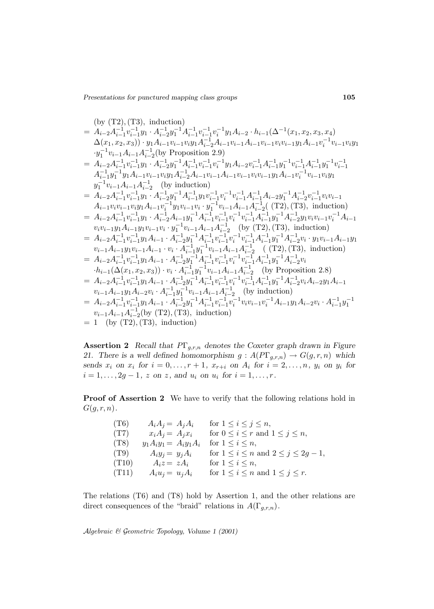$$
= A_{i-2}A_{i-1}^{-1}v_{i-1}^{-1}y_{1} A_{i-2}^{-1}v_{i-1}^{-1}v_{i-1}^{-1}v_{i-1}^{-1}y_{1} A_{i-2} (x_{1}, x_{2}, x_{3}, x_{4})
$$
\n
$$
\Delta(x_{1}, x_{2}, x_{3})) \cdot y_{1}A_{i-1}v_{i-1}v_{i}y_{1}A_{i-2}^{-1}A_{i-1}v_{i-1}A_{i-1}v_{i-1}v_{i}v_{i-1}y_{1}A_{i-1}v_{i-1}^{-1}v_{i}y_{1}A_{i-1}^{-1}v_{i-1}A_{i-1}v_{i-1}A_{i-1}v_{i-1}^{-1}v_{i}y_{1}A_{i-1}^{-1}v_{i-1}A_{i-1}v_{i-1}A_{i-1}v_{i-1}^{-1}v_{i}A_{i-1}^{-1}v_{i-1}^{-1}v_{i}y_{1}A_{i-1}^{-1}v_{i-1}^{-1}A_{i-1}^{-1}v_{i-1}^{-1}v_{i-1}^{-1}u_{i}^{-1}y_{1}A_{i-1}^{-1}v_{i-1}^{-1}A_{i-1}^{-1}y_{1}A_{i-1}v_{i-1}^{-1}y_{1}A_{i-1}^{-1}y_{1}^{-1}A_{i-1}^{-1}y_{1}^{-1}A_{i-1}^{-1}y_{1}A_{i-1}^{-1}y_{1}^{-1}A_{i-1}^{-1}y_{1}A_{i-1}^{-1}y_{1}A_{i-1}^{-1}y_{1}A_{i-1}^{-1}y_{1}A_{i-1}^{-1}y_{1}A_{i-1}^{-1}y_{1}A_{i-1}^{-1}y_{1}A_{i-1}^{-1}y_{1}A_{i-1}^{-1}y_{1}A_{i-1}^{-1}y_{1}A_{i-1}^{-1}y_{1}A_{i-1}^{-1}y_{1}A_{i-1}^{-1}y_{1}A_{i-1}^{-1}y_{1}A_{i-1}^{-1}y_{1}A_{i-1}^{-1}y_{1}A_{i-1}^{-1}y_{1}A_{i-1}^{-1}y_{1}A_{i-1}^{-1}y_{1}A_{i-1}^{-1}y_{1
$$

**Assertion 2** *Recall that* PΓg,r,n *denotes the Coxeter graph drawn in Figure* 21. There is a well defined homomorphism  $g: A(PT_{g,r,n}) \to G(g,r,n)$  which *sends*  $x_i$  *on*  $x_i$  *for*  $i = 0, ..., r + 1$ *,*  $x_{r+i}$  *on*  $A_i$  *for*  $i = 2, ..., n$ *,*  $y_i$  *on*  $y_i$  *for*  $i = 1, \ldots, 2g - 1, z \text{ on } z, \text{ and } u_i \text{ on } u_i \text{ for } i = 1, \ldots, r.$ 

**Proof of Assertion 2** We have to verify that the following relations hold in  $G(g,r,n)$ .

| (T6)  | $A_iA_j = A_jA_i$       | for $1 \leq i \leq j \leq n$ ,                   |
|-------|-------------------------|--------------------------------------------------|
| (T7)  | $x_i A_j = A_j x_i$     | for $0 \leq i \leq r$ and $1 \leq j \leq n$ ,    |
| (T8)  | $y_1A_iy_1 = A_iy_1A_i$ | for $1 \leq i \leq n$ ,                          |
| (T9)  | $A_i y_j = y_j A_i$     | for $1 \leq i \leq n$ and $2 \leq j \leq 2g-1$ , |
| (T10) | $A_i z = z A_i$         | for $1 \leq i \leq n$ ,                          |
| (T11) | $A_i u_j = u_j A_i$     | for $1 \leq i \leq n$ and $1 \leq j \leq r$ .    |

The relations (T6) and (T8) hold by Assertion 1, and the other relations are direct consequences of the "braid" relations in  $A(\Gamma_{g,r,n})$ .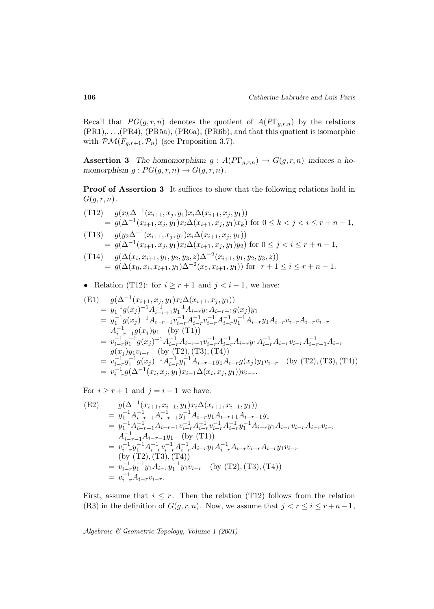Recall that  $PG(g,r,n)$  denotes the quotient of  $A(PT_{g,r,n})$  by the relations (PR1),. . . ,(PR4), (PR5a), (PR6a), (PR6b), and that this quotient is isomorphic with  $\mathcal{PM}(F_{g,r+1},\mathcal{P}_n)$  (see Proposition 3.7).

**Assertion 3** *The homomorphism*  $g: A(PT_{g,r,n}) \to G(g,r,n)$  *induces a homomorphism*  $\bar{g}: PG(g, r, n) \rightarrow G(g, r, n)$ .

**Proof of Assertion 3** It suffices to show that the following relations hold in  $G(g, r, n)$ .

(T12) 
$$
g(x_k \Delta^{-1}(x_{i+1}, x_j, y_1) x_i \Delta(x_{i+1}, x_j, y_1))
$$
  
=  $g(\Delta^{-1}(x_{i+1}, x_j, y_1) x_i \Delta(x_{i+1}, x_j, y_1) x_k)$  for  $0 \le k < j < i \le r + n - 1$ ,  
(T13) 
$$
g(y_2 \Delta^{-1}(x_{i+1}, x_j, y_1) x_i \Delta(x_{i+1}, x_j, y_1))
$$
  
=  $g(\Delta^{-1}(x_{i+1}, x_j, y_1) x_i \Delta(x_{i+1}, x_j, y_1) y_2)$  for  $0 \le j < i \le r + n - 1$ ,

(T14) 
$$
g(\Delta(x_i, x_{i+1}, y_1, y_2, y_3, z)\Delta^{-2}(x_{i+1}, y_1, y_2, y_3, z))
$$
  
=  $g(\Delta(x_0, x_i, x_{i+1}, y_1)\Delta^{-2}(x_0, x_{i+1}, y_1))$  for  $r + 1 \le i \le r + n - 1$ .

• Relation (T12): for  $i \ge r+1$  and  $j < i-1$ , we have:

(E1) 
$$
g(\Delta^{-1}(x_{i+1}, x_j, y_1)x_i\Delta(x_{i+1}, x_j, y_1))
$$
  
\n
$$
= y_1^{-1}g(x_j)^{-1}A_{i-r+1}^{-1}y_1^{-1}A_{i-r}y_1A_{i-r+1}g(x_j)y_1
$$
  
\n
$$
= y_1^{-1}g(x_j)^{-1}A_{i-r-1}v_{i-r}^{-1}A_{i-r}^{-1}v_{i-r}^{-1}A_{i-r}^{-1}y_1^{-1}A_{i-r}y_1A_{i-r}v_{i-r}A_{i-r}v_{i-r}
$$
  
\n
$$
A_{i-r-1}^{-1}g(x_j)y_1 \quad \text{(by (T1))}
$$
  
\n
$$
= v_{i-r}^{-1}y_1^{-1}g(x_j)^{-1}A_{i-r}^{-1}A_{i-r-1}v_{i-r}^{-1}A_{i-r}^{-1}A_{i-r}y_1A_{i-r}^{-1}A_{i-r}v_{i-r}A_{i-r-1}^{-1}A_{i-r}
$$
  
\n
$$
g(x_j)y_1v_{i-r} \quad \text{(by (T2), (T3), (T4))}
$$
  
\n
$$
= v_{i-r}^{-1}y_1^{-1}g(x_j)^{-1}A_{i-r}^{-1}y_1^{-1}A_{i-r-1}y_1A_{i-r}g(x_j)y_1v_{i-r} \quad \text{(by (T2), (T3), (T4))}
$$
  
\n
$$
= v_{i-r}^{-1}g(\Delta^{-1}(x_i, x_j, y_1)x_{i-1}\Delta(x_i, x_j, y_1))v_{i-r}.
$$

For  $i \geq r+1$  and  $j = i-1$  we have:

$$
\begin{aligned}\n\text{(E2)} \qquad & g(\Delta^{-1}(x_{i+1}, x_{i-1}, y_1)x_i\Delta(x_{i+1}, x_{i-1}, y_1)) \\
&= y_1^{-1} A_{i-r-1}^{-1} A_{i-r+1}^{-1} y_1^{-1} A_{i-r} y_1 A_{i-r+1} A_{i-r-1} y_1 \\
&= y_1^{-1} A_{i-r-1}^{-1} A_{i-r-1} v_{i-r}^{-1} A_{i-r}^{-1} v_{i-r}^{-1} A_{i-r}^{-1} y_1^{-1} A_{i-r} y_1 A_{i-r} v_{i-r} A_{i-r} v_{i-r} \\
&A_{i-r-1}^{-1} A_{i-r-1} y_1 \quad \text{(by (T1))} \\
&= v_{i-r}^{-1} y_1^{-1} A_{i-r}^{-1} v_{i-r}^{-1} A_{i-r}^{-1} y_1 A_{i-r}^{-1} A_{i-r} v_{i-r} A_{i-r} y_1 v_{i-r} \\
& \text{(by (T2), (T3), (T4))} \\
&= v_{i-r}^{-1} y_1^{-1} y_1 A_{i-r} y_1^{-1} y_1 v_{i-r} \quad \text{(by (T2), (T3), (T4))} \\
&= v_{i-r}^{-1} A_{i-r} v_{i-r}.\n\end{aligned}
$$

First, assume that  $i \leq r$ . Then the relation (T12) follows from the relation (R3) in the definition of  $G(g, r, n)$ . Now, we assume that  $j < r \leq i \leq r + n - 1$ ,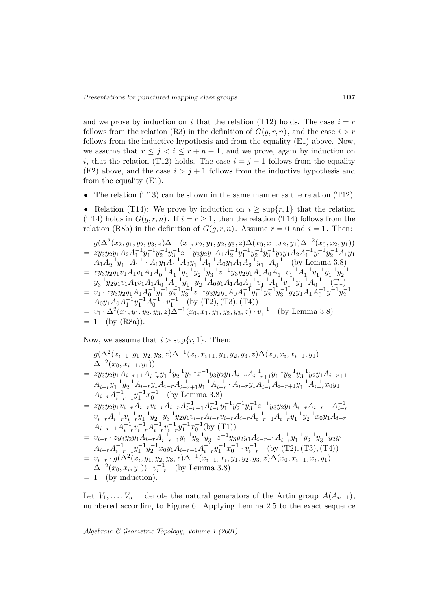and we prove by induction on i that the relation (T12) holds. The case  $i = r$ follows from the relation (R3) in the definition of  $G(g, r, n)$ , and the case  $i > r$ follows from the inductive hypothesis and from the equality (E1) above. Now, we assume that  $r \leq j < i \leq r + n - 1$ , and we prove, again by induction on i, that the relation (T12) holds. The case  $i = j + 1$  follows from the equality (E2) above, and the case  $i>j+1$  follows from the inductive hypothesis and from the equality (E1).

• The relation (T13) can be shown in the same manner as the relation (T12).

• Relation (T14): We prove by induction on  $i \geq \sup\{r, 1\}$  that the relation (T14) holds in  $G(g,r,n)$ . If  $i = r \geq 1$ , then the relation (T14) follows from the relation (R8b) in the definition of  $G(g, r, n)$ . Assume  $r = 0$  and  $i = 1$ . Then:

$$
g(\Delta^{2}(x_{2}, y_{1}, y_{2}, y_{3}, z)\Delta^{-1}(x_{1}, x_{2}, y_{1}, y_{2}, y_{3}, z)\Delta(x_{0}, x_{1}, x_{2}, y_{1})\Delta^{-2}(x_{0}, x_{2}, y_{1}))
$$
\n
$$
= z y_{3} y_{2} y_{1} A_{2} A_{1}^{-1} y_{1}^{-1} y_{2}^{-1} y_{3}^{-1} z^{-1} y_{3} y_{2} y_{1} A_{1} A_{2}^{-1} y_{1}^{-1} y_{2}^{-1} y_{3}^{-1} y_{2} y_{1} A_{2} A_{1}^{-1} y_{1}^{-1} y_{2}^{-1} A_{1} y_{1}
$$
\n
$$
A_{1} A_{2}^{-1} y_{1}^{-1} A_{1}^{-1} \cdot A_{1} y_{1} A_{1}^{-1} A_{2} y_{1}^{-1} A_{1}^{-1} A_{0} y_{1} A_{1} A_{2}^{-1} y_{1}^{-1} A_{0}^{-1}
$$
\n(by Lemma 3.8)

\n
$$
= z y_{3} y_{2} y_{1} v_{1} A_{1} v_{1} A_{1} A_{0}^{-1} A_{1}^{-1} y_{1}^{-1} y_{2}^{-1} y_{3}^{-1} z^{-1} y_{3} y_{2} y_{1} A_{1} A_{0} A_{1}^{-1} v_{1}^{-1} A_{1}^{-1} v_{1}^{-1} y_{1}^{-1} y_{2}^{-1}
$$
\n
$$
y_{3}^{-1} y_{2} y_{1} v_{1} A_{1} v_{1} A_{1} A_{0}^{-1} A_{1}^{-1} y_{1}^{-1} y_{2}^{-1} A_{0} y_{1} A_{1} A_{0} A_{1}^{-1} v_{1}^{-1} A_{1}^{-1} v_{1}^{-1} A_{0}^{-1}
$$
\n(T1)

\n
$$
= v_{1} \cdot z y_{3} y_{2} y_{1} A_{1} A_{0}^{-1} y_{1}^{-1} y_{2}^{-1} y_{3}^{-1} z^{-1} y_{3} y_{2} y_{1} A_{0} A_{1}^{-1} y_{1}^{-1} y_{2}^{-1} y_{3}^{-1} y_{2} y_{1} A_{1} A_{0}^{-1} y_{1}^{-1} y_{2}^{-1}
$$
\n<math display="</math>

Now, we assume that  $i > \sup\{r, 1\}$ . Then:

$$
g(\Delta^{2}(x_{i+1}, y_{1}, y_{2}, y_{3}, z)\Delta^{-1}(x_{i}, x_{i+1}, y_{1}, y_{2}, y_{3}, z)\Delta(x_{0}, x_{i}, x_{i+1}, y_{1})
$$
\n
$$
\Delta^{-2}(x_{0}, x_{i+1}, y_{1}))
$$
\n
$$
= z y_{3} y_{2} y_{1} A_{i-r+1} A_{i-r}^{-1} y_{1}^{-1} y_{2}^{-1} y_{3}^{-1} z^{-1} y_{3} y_{2} y_{1} A_{i-r} A_{i-r+1}^{-1} y_{1}^{-1} y_{2}^{-1} y_{3}^{-1} y_{2} y_{1} A_{i-r+1}
$$
\n
$$
A_{i-r}^{-1} y_{1}^{-1} y_{2}^{-1} A_{i-r} y_{1} A_{i-r} A_{i-r+1}^{-1} y_{1}^{-1} A_{i-r}^{-1} A_{i-r} y_{1} A_{i-r+1}^{-1} y_{1}^{-1} A_{i-r}^{-1} x_{0} y_{1}
$$
\n
$$
A_{i-r} A_{i-r+1}^{-1} y_{1}^{-1} x_{0}^{-1} \quad \text{(by Lemma 3.8)}
$$
\n
$$
= z y_{3} y_{2} y_{1} v_{i-r} A_{i-r} v_{i-r} A_{i-r} A_{i-r-1}^{-1} A_{i-r}^{-1} y_{1}^{-1} y_{2}^{-1} y_{3}^{-1} z^{-1} y_{3} y_{2} y_{1} A_{i-r} A_{i-r-1} A_{i-r}^{-1} x_{0}^{-1} x_{i-r}^{-1} x_{i-r}^{-1} y_{1}^{-1} y_{2}^{-1} y_{3}^{-1} y_{2} y_{1} A_{i-r} A_{i-r-1}^{-1} A_{i-r}^{-1} x_{i-r}^{-1} x_{i-r}^{-1} y_{1}^{-1} x_{0}^{-1} (by \text{(T1)})
$$
\n
$$
= v_{i-r} \cdot z y_{3} y_{2} y_{1} A_{i-r} A_{i-r}^{-1} y_{1}^{-1} x_{0}^{-1} (by \text{(T1)})
$$
\n
$$
= v_{i-r} \cdot z y_{3} y_{2} y_{1} A_{i-r} A_{i-r-1}^{-1} y_{1}^{-1} y_{2}^{-1} y_{3}^{-1} z^{-1} y
$$

Let  $V_1, \ldots, V_{n-1}$  denote the natural generators of the Artin group  $A(A_{n-1}),$ numbered according to Figure 6. Applying Lemma 2.5 to the exact sequence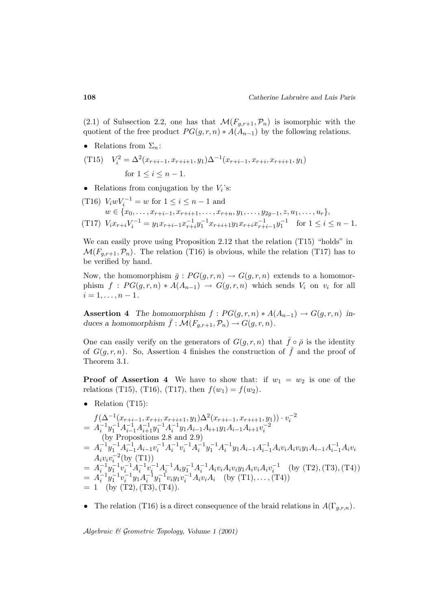(2.1) of Subsection 2.2, one has that  $\mathcal{M}(F_{g,r+1}, \mathcal{P}_n)$  is isomorphic with the quotient of the free product  $PG(g, r, n) * A(A_{n-1})$  by the following relations.

• Relations from  $\Sigma_n$ :

(T15) 
$$
V_i^2 = \Delta^2(x_{r+i-1}, x_{r+i+1}, y_1) \Delta^{-1}(x_{r+i-1}, x_{r+i}, x_{r+i+1}, y_1)
$$
  
for  $1 \le i \le n - 1$ .

Relations from conjugation by the  $V_i$ 's:

(T16) 
$$
V_i w V_i^{-1} = w
$$
 for  $1 \le i \le n - 1$  and  
\n $w \in \{x_0, ..., x_{r+i-1}, x_{r+i+1}, ..., x_{r+n}, y_1, ..., y_{2g-1}, z, u_1, ..., u_r\},$   
\n(T17)  $V_i x_{r+i} V_i^{-1} = y_1 x_{r+i-1} x_{r+i}^{-1} y_1^{-1} x_{r+i+1} y_1 x_{r+i} x_{r+i-1}^{-1} y_1^{-1}$  for  $1 \le i \le n - 1$ .

We can easily prove using Proposition 2.12 that the relation (T15) "holds" in  $\mathcal{M}(F_{q,r+1},\mathcal{P}_n)$ . The relation (T16) is obvious, while the relation (T17) has to be verified by hand.

Now, the homomorphism  $\bar{g}: PG(g,r,n) \to G(g,r,n)$  extends to a homomorphism  $f : PG(g,r,n) * A(A_{n-1}) \rightarrow G(g,r,n)$  which sends  $V_i$  on  $v_i$  for all  $i = 1, \ldots, n - 1.$ 

**Assertion 4** *The homomorphism*  $f : PG(g,r,n) * A(A_{n-1}) \rightarrow G(g,r,n)$  *induces a homomorphism*  $\bar{f}$  :  $\mathcal{M}(F_{g,r+1}, \mathcal{P}_n) \rightarrow G(g,r,n)$ .

One can easily verify on the generators of  $G(g, r, n)$  that  $\bar{f} \circ \bar{\rho}$  is the identity of  $G(q, r, n)$ . So, Assertion 4 finishes the construction of  $\bar{f}$  and the proof of Theorem 3.1.

**Proof of Assertion 4** We have to show that: if  $w_1 = w_2$  is one of the relations (T15), (T16), (T17), then  $f(w_1) = f(w_2)$ .

• Relation  $(T15)$ :

$$
f(\Delta^{-1}(x_{r+i-1}, x_{r+i}, x_{r+i+1}, y_1) \Delta^2(x_{r+i-1}, x_{r+i+1}, y_1)) \cdot v_i^{-2}
$$
  
=  $A_i^{-1} y_1^{-1} A_{i-1}^{-1} A_{i+1}^{-1} y_1^{-1} A_i^{-1} y_1 A_{i-1} A_{i+1} y_1 A_{i-1} A_{i+1} v_i^{-2}$   
(by Propositions 2.8 and 2.9)  
=  $A_i^{-1} y_1^{-1} A_{i-1}^{-1} A_{i-1} v_i^{-1} A_i^{-1} v_i^{-1} A_i^{-1} y_1 A_{i-1} A_{i-1}^{-1} A_i v_i A_i v_i y_1 A_{i-1} A_{i-1}^{-1} A_i v_i$   
 $A_i v_i v_i^{-2}$  (by (T1))  
=  $A_i^{-1} y_1^{-1} v_i^{-1} A_i^{-1} v_i^{-1} A_i^{-1} A_i y_1^{-1} A_i^{-1} A_i v_i A_i v_i y_1 A_i v_i A_i v_i^{-1}$  (by (T2), (T3), (T4))  
=  $A_i^{-1} y_1^{-1} v_i^{-1} y_1 A_i^{-1} y_1^{-1} v_i y_1 v_i^{-1} A_i v_i A_i$  (by (T1),..., (T4))  
= 1 (by (T2), (T3), (T4)).

• The relation (T16) is a direct consequence of the braid relations in  $A(\Gamma_{g,r,n})$ .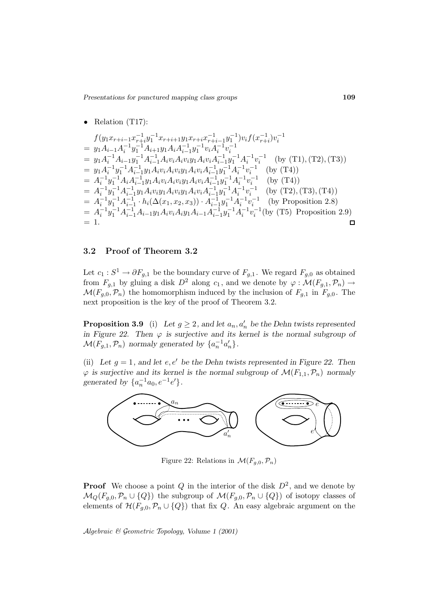• Relation (T17):  
\n
$$
f(y_1x_{r+i-1}x_{r+i}^{-1}y_1^{-1}x_{r+i+1}y_1x_{r+i}x_{r+i-1}^{-1}y_1^{-1})v_if(x_{r+i}^{-1})v_i^{-1}
$$
\n
$$
= y_1A_{i-1}A_i^{-1}y_1^{-1}A_{i+1}y_1A_iA_{i-1}^{-1}y_1^{-1}v_iA_i^{-1}v_i^{-1}
$$
\n
$$
= y_1A_i^{-1}A_{i-1}y_1^{-1}A_{i-1}^{-1}A_i v_iA_i v_iy_1A_i v_iA_{i-1}^{-1}y_1^{-1}A_i^{-1}v_i^{-1}
$$
 (by (T1), (T2), (T3))\n
$$
= y_1A_i^{-1}y_1^{-1}A_{i-1}^{-1}y_1A_i v_iA_i v_iy_1A_i v_iA_{i-1}^{-1}y_1^{-1}A_i^{-1}v_i^{-1}
$$
 (by (T4))\n
$$
= A_i^{-1}y_1^{-1}A_iA_{i-1}^{-1}y_1A_i v_iA_i v_iy_1A_i v_iA_{i-1}^{-1}y_1^{-1}A_i^{-1}v_i^{-1}
$$
 (by (T4))\n
$$
= A_i^{-1}y_1^{-1}A_{i-1}^{-1}y_1A_i v_iy_1A_i v_iy_1A_i v_iA_{i-1}^{-1}y_1^{-1}A_i^{-1}v_i^{-1}
$$
 (by (T2), (T3), (T4))\n
$$
= A_i^{-1}y_1^{-1}A_{i-1}^{-1}h_i(\Delta(x_1, x_2, x_3)) \cdot A_{i-1}^{-1}y_1^{-1}A_i^{-1}v_i^{-1}
$$
 (by Proposition 2.8)\n
$$
= A_i^{-1}y_1^{-1}A_{i-1}^{-1}A_{i-1}y_1A_i v_iA_iy_1A_{i-1}A_{i-1}^{-1}y_1^{-1}A_i^{-1}v_i^{-1}
$$
 (by (T5) Proposition 2.9)\n
$$
= 1.
$$

## **3.2 Proof of Theorem 3.2**

Let  $c_1 : S^1 \to \partial F_{g,1}$  be the boundary curve of  $F_{g,1}$ . We regard  $F_{g,0}$  as obtained from  $F_{q,1}$  by gluing a disk  $D^2$  along  $c_1$ , and we denote by  $\varphi : \mathcal{M}(F_{q,1}, \mathcal{P}_n) \to$  $\mathcal{M}(F_{g,0},\mathcal{P}_n)$  the homomorphism induced by the inclusion of  $F_{g,1}$  in  $F_{g,0}$ . The next proposition is the key of the proof of Theorem 3.2.

**Proposition 3.9** (i) Let  $g \geq 2$ , and let  $a_n, a'_n$  be the Dehn twists represented *in Figure 22. Then*  $\varphi$  *is surjective and its kernel is the normal subgroup of*  $\mathcal{M}(F_{g,1}, \mathcal{P}_n)$  normaly generated by  $\{a_n^{-1}a'_n\}.$ 

(ii) Let  $g = 1$ , and let  $e, e'$  be the Dehn twists represented in Figure 22. Then  $\varphi$  *is surjective and its kernel is the normal subgroup of*  $\mathcal{M}(F_{1,1}, \mathcal{P}_n)$  *normaly generated by*  $\{a_n^{-1}a_0, e^{-1}e'\}.$ 



Figure 22: Relations in  $\mathcal{M}(F_{g,0}, \mathcal{P}_n)$ 

**Proof** We choose a point Q in the interior of the disk  $D^2$ , and we denote by  $\mathcal{M}_Q(F_{g,0}, \mathcal{P}_n \cup \{Q\})$  the subgroup of  $\mathcal{M}(F_{g,0}, \mathcal{P}_n \cup \{Q\})$  of isotopy classes of elements of  $\mathcal{H}(F_{g,0},\mathcal{P}_n\cup\{Q\})$  that fix Q. An easy algebraic argument on the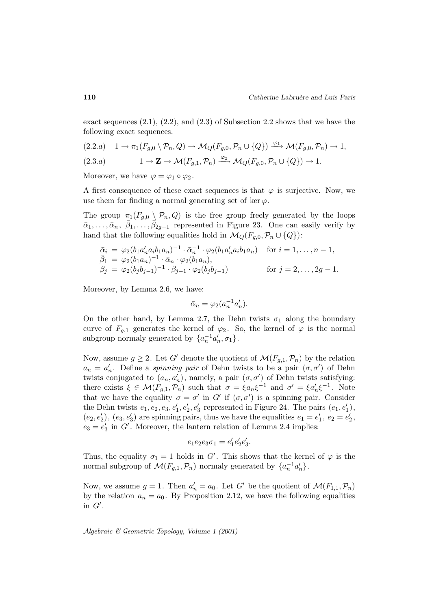exact sequences  $(2.1), (2.2),$  and  $(2.3)$  of Subsection 2.2 shows that we have the following exact sequences.

$$
(2.2.a) \quad 1 \to \pi_1(F_{g,0} \setminus \mathcal{P}_n, Q) \to \mathcal{M}_Q(F_{g,0}, \mathcal{P}_n \cup \{Q\}) \xrightarrow{\varphi_1} \mathcal{M}(F_{g,0}, \mathcal{P}_n) \to 1,
$$

$$
(2.3.a) \t1 \to \mathbf{Z} \to \mathcal{M}(F_{g,1}, \mathcal{P}_n) \xrightarrow{\varphi_2} \mathcal{M}_Q(F_{g,0}, \mathcal{P}_n \cup \{Q\}) \to 1.
$$

Moreover, we have  $\varphi = \varphi_1 \circ \varphi_2$ .

A first consequence of these exact sequences is that  $\varphi$  is surjective. Now, we use them for finding a normal generating set of ker  $\varphi$ .

The group  $\pi_1(F_{g,0} \setminus \mathcal{P}_n, Q)$  is the free group freely generated by the loops  $\bar{\alpha}_1,\ldots,\bar{\alpha}_n, \bar{\beta}_1,\ldots,\bar{\beta}_{2g-1}$  represented in Figure 23. One can easily verify by hand that the following equalities hold in  $\mathcal{M}_Q(F_{g,0}, \mathcal{P}_n \cup \{Q\})$ :

$$
\begin{array}{ll}\n\bar{\alpha}_i = \varphi_2(b_1 a'_n a_i b_1 a_n)^{-1} \cdot \bar{\alpha}_n^{-1} \cdot \varphi_2(b_1 a'_n a_i b_1 a_n) & \text{for } i = 1, \dots, n-1, \\
\bar{\beta}_1 = \varphi_2(b_1 a_n)^{-1} \cdot \bar{\alpha}_n \cdot \varphi_2(b_1 a_n), \\
\bar{\beta}_j = \varphi_2(b_j b_{j-1})^{-1} \cdot \bar{\beta}_{j-1} \cdot \varphi_2(b_j b_{j-1}) & \text{for } j = 2, \dots, 2g - 1.\n\end{array}
$$

Moreover, by Lemma 2.6, we have:

$$
\bar{\alpha}_n = \varphi_2(a_n^{-1}a'_n).
$$

On the other hand, by Lemma 2.7, the Dehn twists  $\sigma_1$  along the boundary curve of  $F_{g,1}$  generates the kernel of  $\varphi_2$ . So, the kernel of  $\varphi$  is the normal subgroup normaly generated by  $\{a_n^{-1}a'_n, \sigma_1\}.$ 

Now, assume  $g \geq 2$ . Let G' denote the quotient of  $\mathcal{M}(F_{q,1},\mathcal{P}_n)$  by the relation  $a_n = a'_n$ . Define a *spinning pair* of Dehn twists to be a pair  $(\sigma, \sigma')$  of Dehn twists conjugated to  $(a_n, a'_n)$ , namely, a pair  $(\sigma, \sigma')$  of Dehn twists satisfying: there exists  $\xi \in \mathcal{M}(F_{g,1}, \mathcal{P}_n)$  such that  $\sigma = \xi a_n \xi^{-1}$  and  $\sigma' = \xi a'_n \xi^{-1}$ . Note that we have the equality  $\sigma = \sigma'$  in G' if  $(\sigma, \sigma')$  is a spinning pair. Consider the Dehn twists  $e_1, e_2, e_3, e'_1, e'_2, e'_3$  represented in Figure 24. The pairs  $(e_1, e'_1)$ ,  $(e_2, e'_2), (e_3, e'_3)$  are spinning pairs, thus we have the equalities  $e_1 = e'_1, e_2 = e'_2$ ,  $e_3 = e'_3$  in G'. Moreover, the lantern relation of Lemma 2.4 implies:

$$
e_1e_2e_3\sigma_1 = e'_1e'_2e'_3.
$$

Thus, the equality  $\sigma_1 = 1$  holds in G'. This shows that the kernel of  $\varphi$  is the normal subgroup of  $\mathcal{M}(F_{g,1}, \mathcal{P}_n)$  normaly generated by  $\{a_n^{-1}a_n'\}.$ 

Now, we assume  $g = 1$ . Then  $a'_n = a_0$ . Let G' be the quotient of  $\mathcal{M}(F_{1,1}, \mathcal{P}_n)$ by the relation  $a_n = a_0$ . By Proposition 2.12, we have the following equalities in  $G'$ .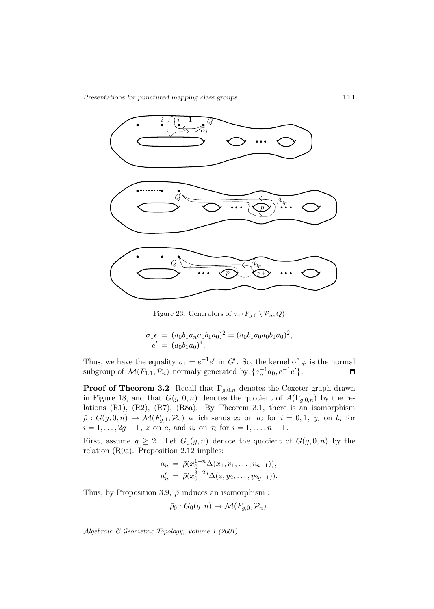

Figure 23: Generators of  $\pi_1(F_{g,0} \setminus \mathcal{P}_n, Q)$ 

$$
\sigma_1 e = (a_0 b_1 a_n a_0 b_1 a_0)^2 = (a_0 b_1 a_0 a_0 b_1 a_0)^2,
$$
  

$$
e' = (a_0 b_1 a_0)^4.
$$

Thus, we have the equality  $\sigma_1 = e^{-1}e'$  in  $G'$ . So, the kernel of  $\varphi$  is the normal subgroup of  $\mathcal{M}(F_{1,1}, \mathcal{P}_n)$  normaly generated by  $\{a_n^{-1}a_0, e^{-1}e'\}.$  $\Box$ 

**Proof of Theorem 3.2** Recall that  $\Gamma_{g,0,n}$  denotes the Coxeter graph drawn in Figure 18, and that  $G(g, 0, n)$  denotes the quotient of  $A(\Gamma_{g,0,n})$  by the relations  $(R1)$ ,  $(R2)$ ,  $(R7)$ ,  $(R8a)$ . By Theorem 3.1, there is an isomorphism  $\bar{\rho}: G(g, 0, n) \to \mathcal{M}(F_{g,1}, \mathcal{P}_n)$  which sends  $x_i$  on  $a_i$  for  $i = 0, 1, y_i$  on  $b_i$  for  $i = 1, \ldots, 2g - 1, z$  on c, and  $v_i$  on  $\tau_i$  for  $i = 1, \ldots, n - 1$ .

First, assume  $g \geq 2$ . Let  $G_0(g, n)$  denote the quotient of  $G(g, 0, n)$  by the relation (R9a). Proposition 2.12 implies:

$$
a_n = \bar{\rho}(x_0^{1-n}\Delta(x_1, v_1, \dots, v_{n-1})),
$$
  
\n
$$
a'_n = \bar{\rho}(x_0^{3-2g}\Delta(z, y_2, \dots, y_{2g-1})).
$$

Thus, by Proposition 3.9,  $\bar{\rho}$  induces an isomorphism :

$$
\bar{\rho}_0: G_0(g, n) \to \mathcal{M}(F_{g,0}, \mathcal{P}_n).
$$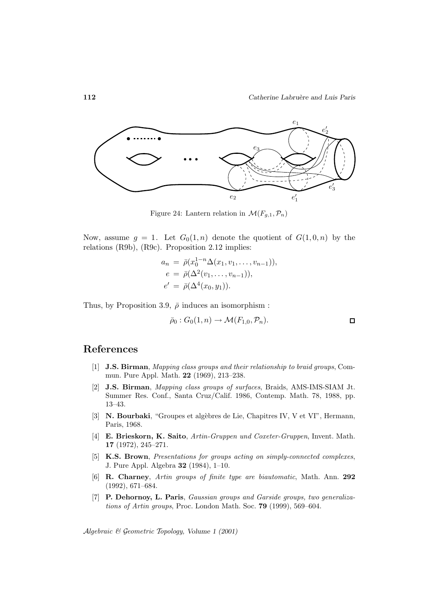

Figure 24: Lantern relation in  $\mathcal{M}(F_{g,1}, \mathcal{P}_n)$ 

Now, assume  $g = 1$ . Let  $G_0(1,n)$  denote the quotient of  $G(1,0,n)$  by the relations (R9b), (R9c). Proposition 2.12 implies:

$$
a_n = \bar{\rho}(x_0^{1-n}\Delta(x_1, v_1, \dots, v_{n-1})),
$$
  
\n
$$
e = \bar{\rho}(\Delta^2(v_1, \dots, v_{n-1})),
$$
  
\n
$$
e' = \bar{\rho}(\Delta^4(x_0, y_1)).
$$

Thus, by Proposition 3.9,  $\bar{\rho}$  induces an isomorphism :

$$
\bar{\rho}_0: G_0(1,n) \to \mathcal{M}(F_{1,0}, \mathcal{P}_n).
$$

## **References**

- [1] **J.S. Birman**, Mapping class groups and their relationship to braid groups, Commun. Pure Appl. Math. **22** (1969), 213–238.
- [2] **J.S. Birman**, Mapping class groups of surfaces, Braids, AMS-IMS-SIAM Jt. Summer Res. Conf., Santa Cruz/Calif. 1986, Contemp. Math. 78, 1988, pp. 13–43.
- [3] **N. Bourbaki**, "Groupes et algèbres de Lie, Chapitres IV, V et VI", Hermann, Paris, 1968.
- [4] **E. Brieskorn, K. Saito**, Artin-Gruppen und Coxeter-Gruppen, Invent. Math. **17** (1972), 245–271.
- [5] **K.S. Brown**, Presentations for groups acting on simply-connected complexes, J. Pure Appl. Algebra **32** (1984), 1–10.
- [6] **R. Charney**, Artin groups of finite type are biautomatic, Math. Ann. **292** (1992), 671–684.
- [7] **P. Dehornoy, L. Paris**, Gaussian groups and Garside groups, two generalizations of Artin groups, Proc. London Math. Soc. **79** (1999), 569–604.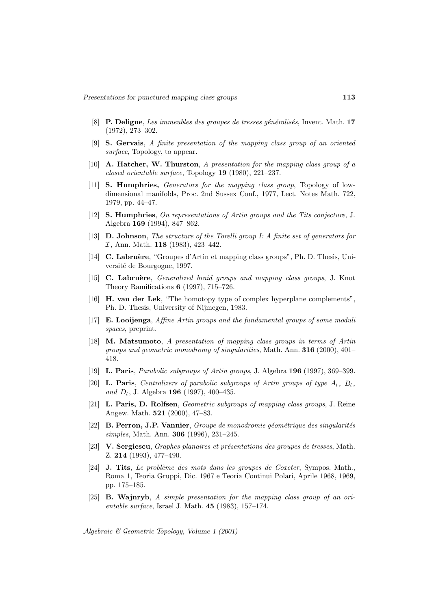- [8] **P. Deligne**, Les immeubles des groupes de tresses généralisés, Invent. Math. 17 (1972), 273–302.
- [9] **S. Gervais**, A finite presentation of the mapping class group of an oriented surface, Topology, to appear.
- [10] **A. Hatcher, W. Thurston**, A presentation for the mapping class group of a closed orientable surface, Topology **19** (1980), 221–237.
- [11] **S. Humphries,** Generators for the mapping class group, Topology of lowdimensional manifolds, Proc. 2nd Sussex Conf., 1977, Lect. Notes Math. 722, 1979, pp. 44–47.
- [12] **S. Humphries**, On representations of Artin groups and the Tits conjecture, J. Algebra **169** (1994), 847–862.
- [13] **D. Johnson**, The structure of the Torelli group I: A finite set of generators for I , Ann. Math. **118** (1983), 423–442.
- [14] **C. Labru`ere**, "Groupes d'Artin et mapping class groups", Ph. D. Thesis, Université de Bourgogne, 1997.
- [15] **C. Labru`ere**, Generalized braid groups and mapping class groups, J. Knot Theory Ramifications **6** (1997), 715–726.
- [16] **H. van der Lek**, "The homotopy type of complex hyperplane complements", Ph. D. Thesis, University of Nijmegen, 1983.
- [17] **E. Looijenga**, Affine Artin groups and the fundamental groups of some moduli spaces, preprint.
- [18] **M. Matsumoto**, A presentation of mapping class groups in terms of Artin groups and geometric monodromy of singularities, Math. Ann. **316** (2000), 401– 418.
- [19] **L. Paris**, Parabolic subgroups of Artin groups, J. Algebra **196** (1997), 369–399.
- [20] **L. Paris**, Centralizers of parabolic subgroups of Artin groups of type  $A_l$ ,  $B_l$ , and  $D_l$ , J. Algebra **196** (1997), 400–435.
- [21] **L. Paris, D. Rolfsen**, Geometric subgroups of mapping class groups, J. Reine Angew. Math. **521** (2000), 47–83.
- [22] **B. Perron, J.P. Vannier**, Groupe de monodromie géométrique des singularités simples, Math. Ann. **306** (1996), 231–245.
- [23] **V. Sergiescu**, *Graphes planaires et présentations des groupes de tresses*, Math. Z. **214** (1993), 477–490.
- [24] **J. Tits**, *Le problème des mots dans les groupes de Coxeter*, Sympos. Math., Roma 1, Teoria Gruppi, Dic. 1967 e Teoria Continui Polari, Aprile 1968, 1969, pp. 175–185.
- [25] **B. Wajnryb**, A simple presentation for the mapping class group of an orientable surface, Israel J. Math. **45** (1983), 157–174.